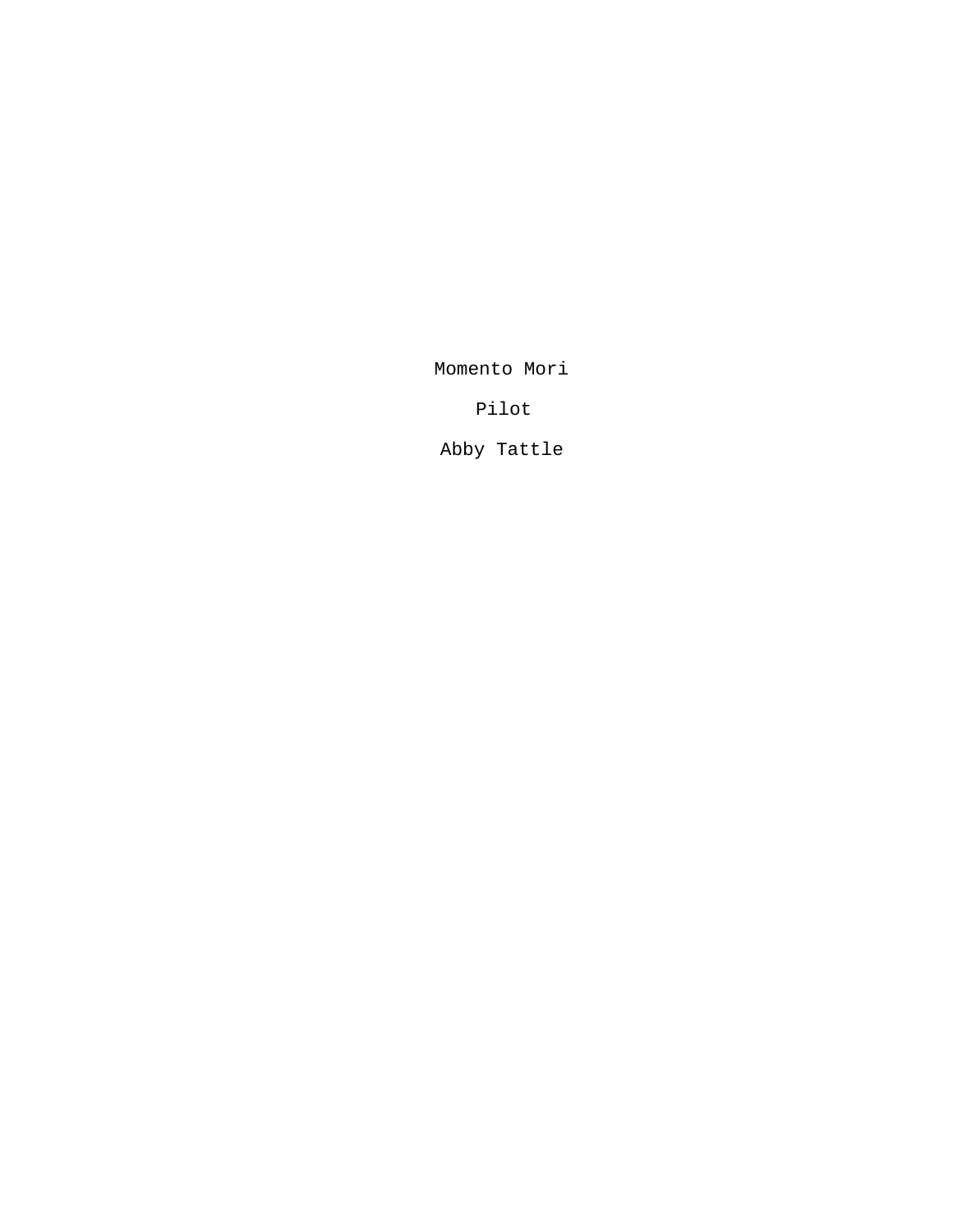Momento Mori

Pilot

Abby Tattle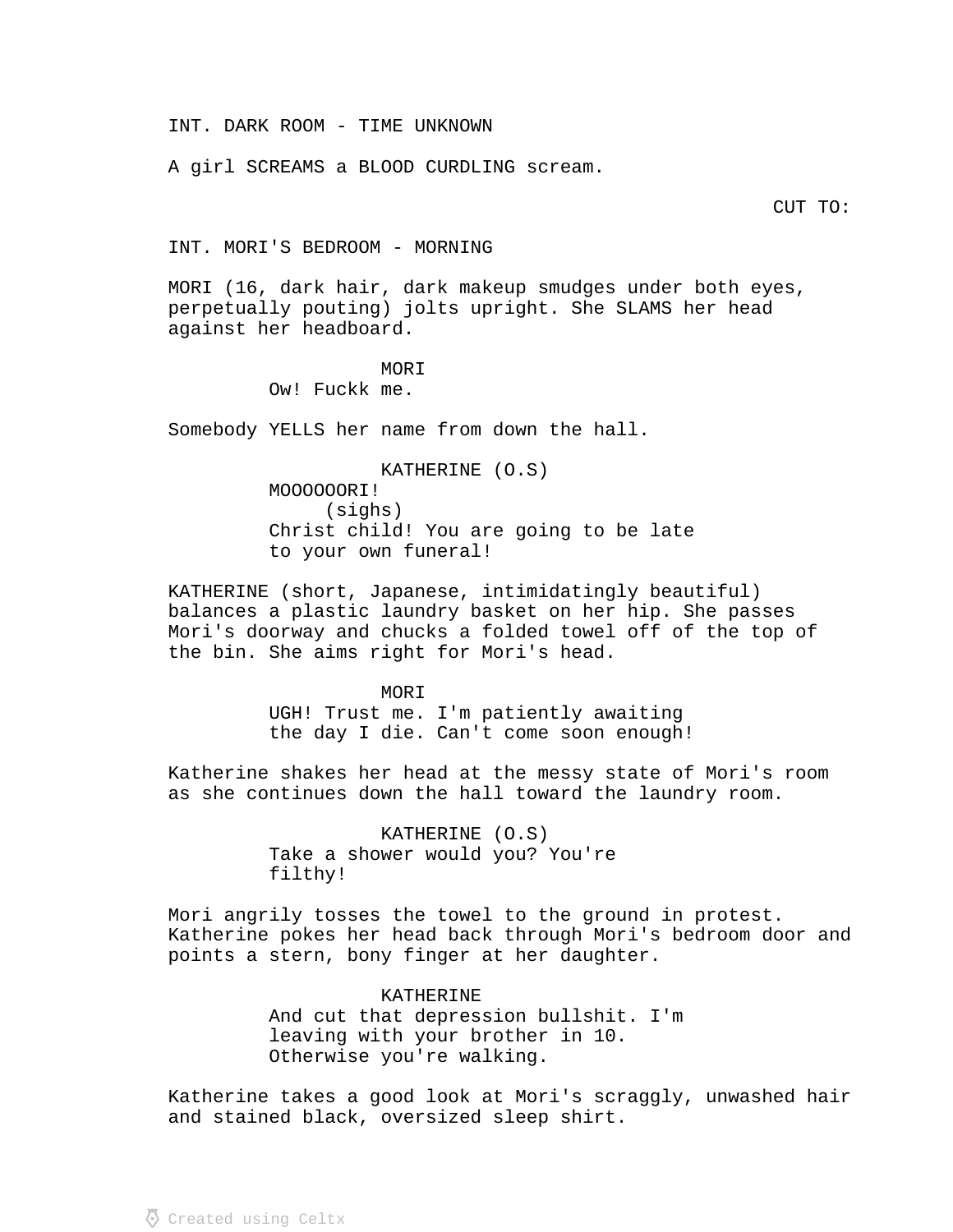INT. DARK ROOM - TIME UNKNOWN

A girl SCREAMS a BLOOD CURDLING scream.

CUT TO:

INT. MORI'S BEDROOM - MORNING

MORI (16, dark hair, dark makeup smudges under both eyes, perpetually pouting) jolts upright. She SLAMS her head against her headboard.

# **MORI**

Ow! Fuckk me.

Somebody YELLS her name from down the hall.

KATHERINE (O.S) MOOOOOORI! (sighs) Christ child! You are going to be late to your own funeral!

KATHERINE (short, Japanese, intimidatingly beautiful) balances a plastic laundry basket on her hip. She passes Mori's doorway and chucks a folded towel off of the top of the bin. She aims right for Mori's head.

> MORI UGH! Trust me. I'm patiently awaiting the day I die. Can't come soon enough!

Katherine shakes her head at the messy state of Mori's room as she continues down the hall toward the laundry room.

> KATHERINE (O.S) Take a shower would you? You're filthy!

Mori angrily tosses the towel to the ground in protest. Katherine pokes her head back through Mori's bedroom door and points a stern, bony finger at her daughter.

> KATHERINE And cut that depression bullshit. I'm leaving with your brother in 10. Otherwise you're walking.

Katherine takes a good look at Mori's scraggly, unwashed hair and stained black, oversized sleep shirt.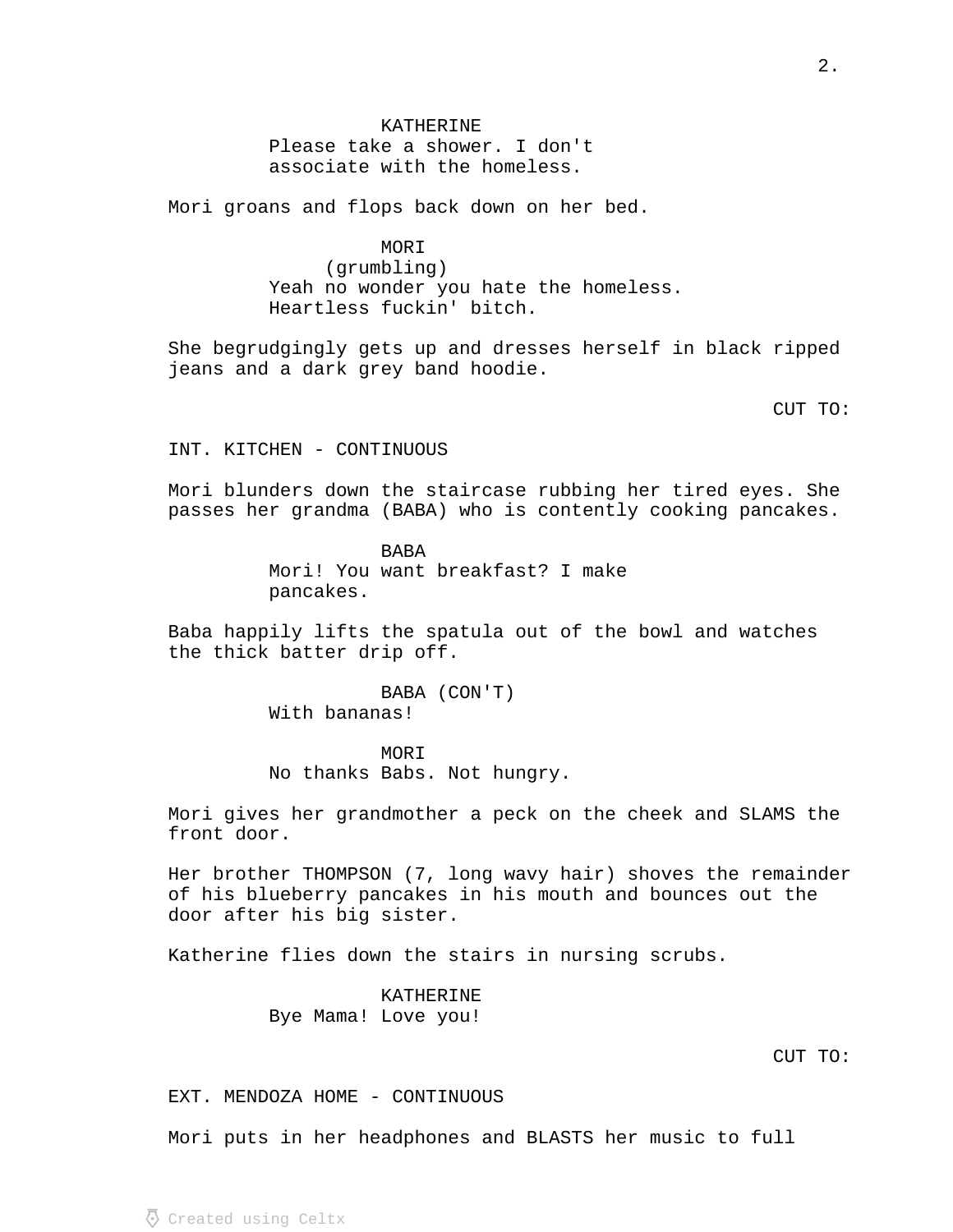# KATHERINE

Please take a shower. I don't associate with the homeless.

Mori groans and flops back down on her bed.

MORI

(grumbling) Yeah no wonder you hate the homeless. Heartless fuckin' bitch.

She begrudgingly gets up and dresses herself in black ripped jeans and a dark grey band hoodie.

CUT TO:

INT. KITCHEN - CONTINUOUS

Mori blunders down the staircase rubbing her tired eyes. She passes her grandma (BABA) who is contently cooking pancakes.

> BABA Mori! You want breakfast? I make pancakes.

Baba happily lifts the spatula out of the bowl and watches the thick batter drip off.

> BABA (CON'T) With bananas!

MORI No thanks Babs. Not hungry.

Mori gives her grandmother a peck on the cheek and SLAMS the front door.

Her brother THOMPSON (7, long wavy hair) shoves the remainder of his blueberry pancakes in his mouth and bounces out the door after his big sister.

Katherine flies down the stairs in nursing scrubs.

KATHERINE Bye Mama! Love you!

EXT. MENDOZA HOME - CONTINUOUS

Mori puts in her headphones and BLASTS her music to full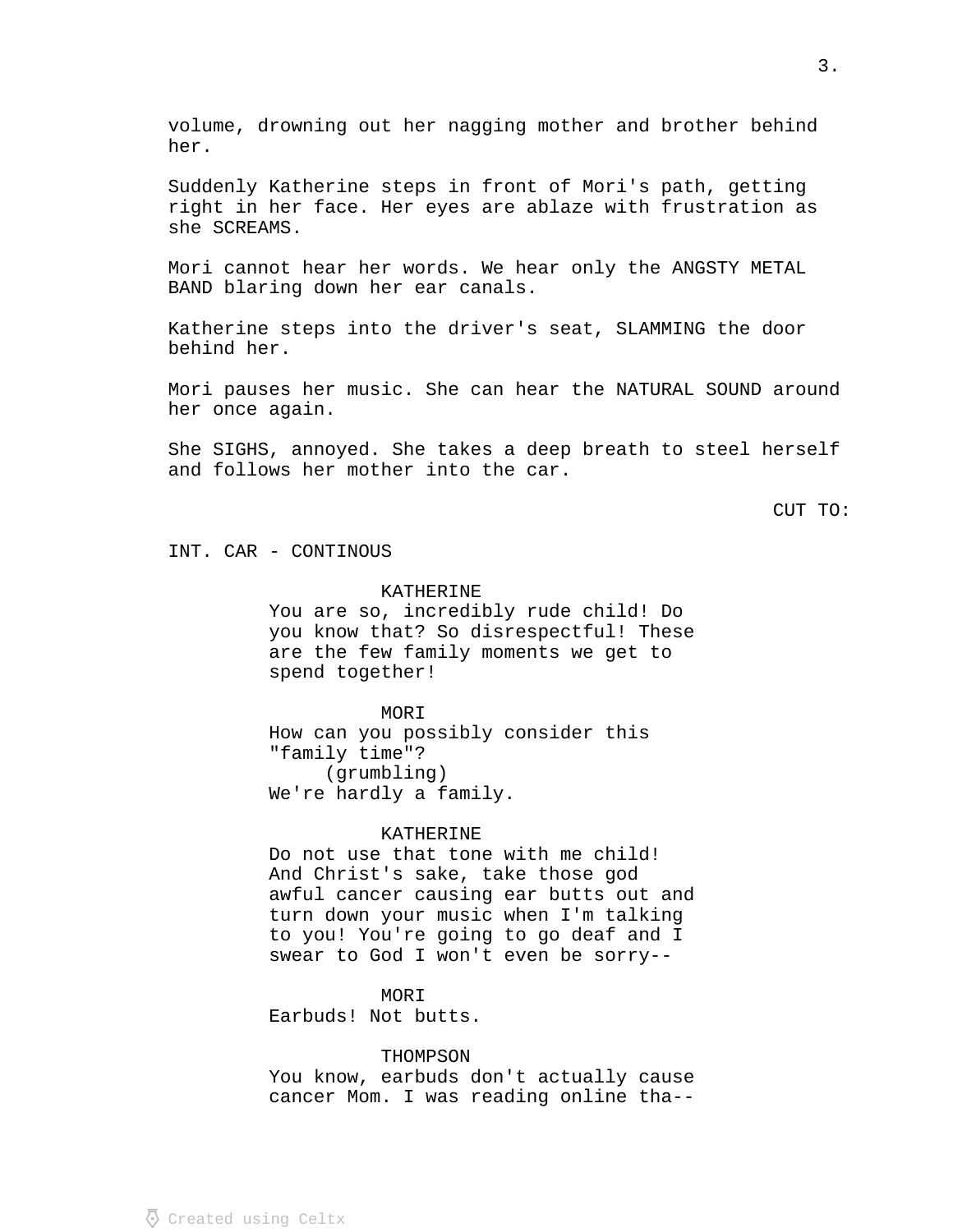volume, drowning out her nagging mother and brother behind her.

Suddenly Katherine steps in front of Mori's path, getting right in her face. Her eyes are ablaze with frustration as she SCREAMS.

Mori cannot hear her words. We hear only the ANGSTY METAL BAND blaring down her ear canals.

Katherine steps into the driver's seat, SLAMMING the door behind her.

Mori pauses her music. She can hear the NATURAL SOUND around her once again.

She SIGHS, annoyed. She takes a deep breath to steel herself and follows her mother into the car.

CUT TO:

INT. CAR - CONTINOUS

## KATHERINE

You are so, incredibly rude child! Do you know that? So disrespectful! These are the few family moments we get to spend together!

MORI How can you possibly consider this "family time"? (grumbling) We're hardly a family.

## KATHERINE

Do not use that tone with me child! And Christ's sake, take those god awful cancer causing ear butts out and turn down your music when I'm talking to you! You're going to go deaf and I swear to God I won't even be sorry--

MORI

Earbuds! Not butts.

## THOMPSON

You know, earbuds don't actually cause cancer Mom. I was reading online tha--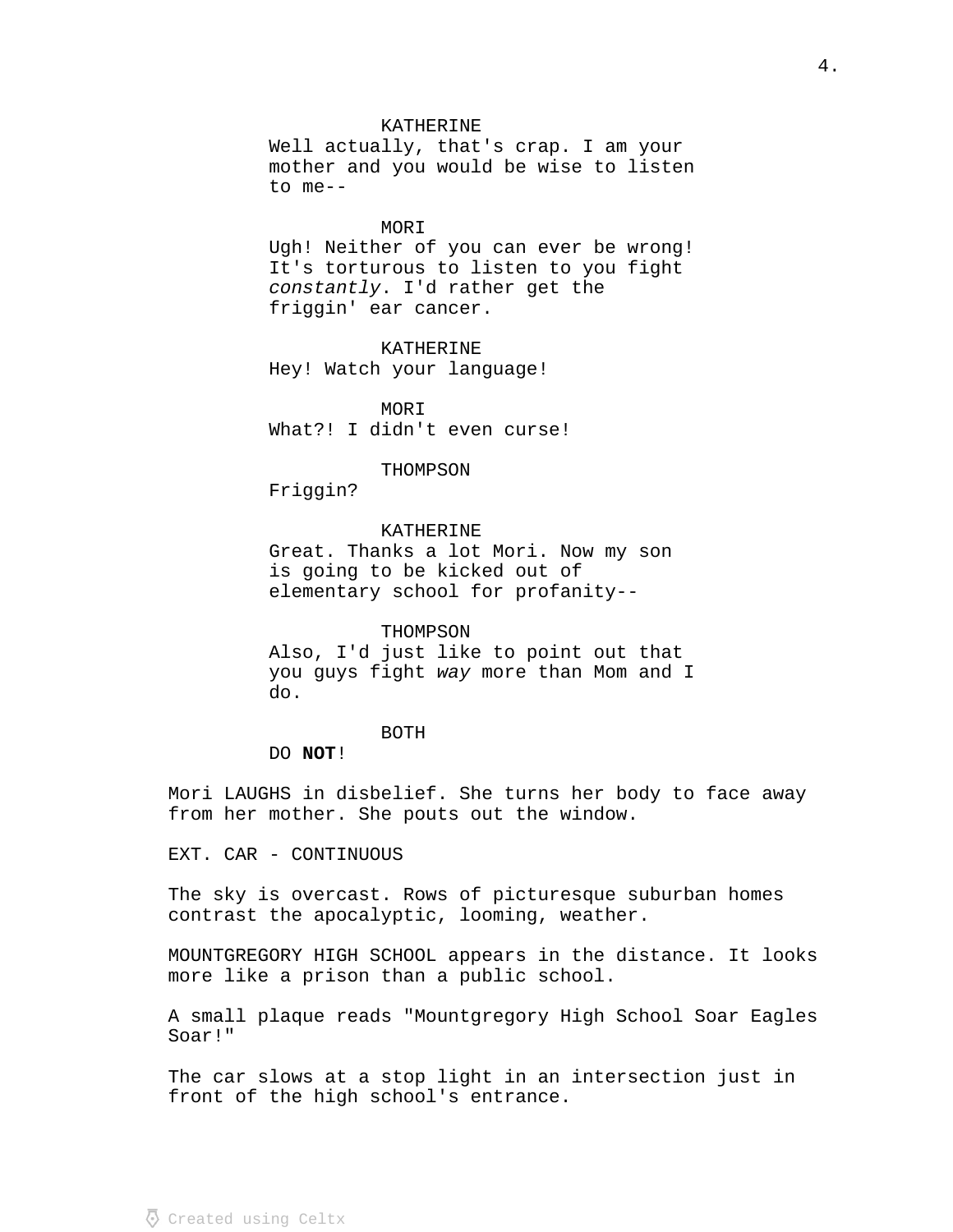## KATHERINE

Well actually, that's crap. I am your mother and you would be wise to listen to me--

### MORI

Ugh! Neither of you can ever be wrong! It's torturous to listen to you fight constantly. I'd rather get the friggin' ear cancer.

KATHERINE Hey! Watch your language!

MORI What?! I didn't even curse!

### THOMPSON

Friggin?

## KATHERINE

Great. Thanks a lot Mori. Now my son is going to be kicked out of elementary school for profanity--

### THOMPSON

Also, I'd just like to point out that you guys fight way more than Mom and I do.

### BOTH

DO **NOT**!

Mori LAUGHS in disbelief. She turns her body to face away from her mother. She pouts out the window.

EXT. CAR - CONTINUOUS

The sky is overcast. Rows of picturesque suburban homes contrast the apocalyptic, looming, weather.

MOUNTGREGORY HIGH SCHOOL appears in the distance. It looks more like a prison than a public school.

A small plaque reads "Mountgregory High School Soar Eagles Soar!"

The car slows at a stop light in an intersection just in front of the high school's entrance.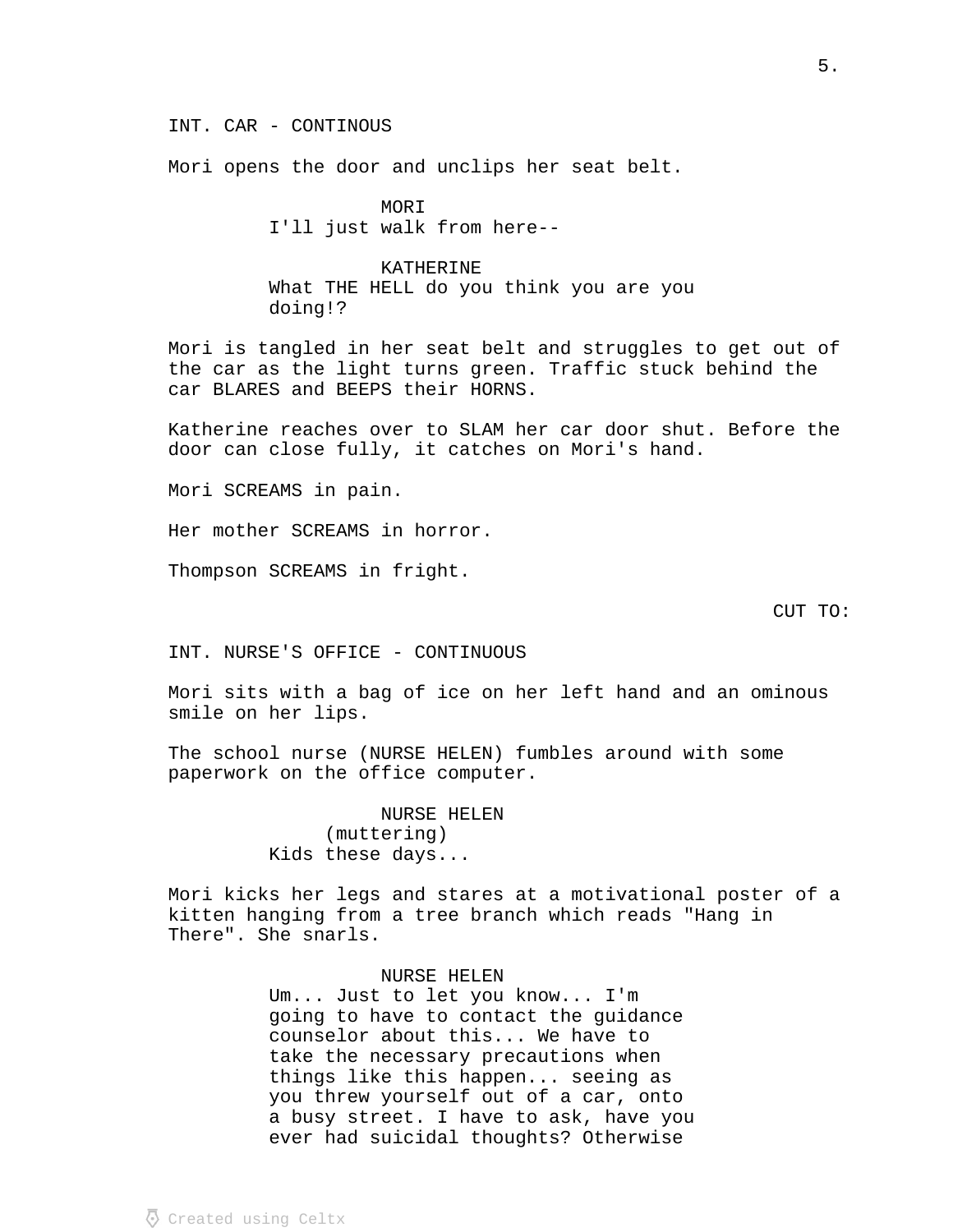INT. CAR - CONTINOUS

Mori opens the door and unclips her seat belt.

MORI I'll just walk from here--

KATHERINE What THE HELL do you think you are you doing!?

Mori is tangled in her seat belt and struggles to get out of the car as the light turns green. Traffic stuck behind the car BLARES and BEEPS their HORNS.

Katherine reaches over to SLAM her car door shut. Before the door can close fully, it catches on Mori's hand.

Mori SCREAMS in pain.

Her mother SCREAMS in horror.

Thompson SCREAMS in fright.

CUT TO:

INT. NURSE'S OFFICE - CONTINUOUS

Mori sits with a bag of ice on her left hand and an ominous smile on her lips.

The school nurse (NURSE HELEN) fumbles around with some paperwork on the office computer.

> NURSE HELEN (muttering) Kids these days...

Mori kicks her legs and stares at a motivational poster of a kitten hanging from a tree branch which reads "Hang in There". She snarls.

# NURSE HELEN

Um... Just to let you know... I'm going to have to contact the guidance counselor about this... We have to take the necessary precautions when things like this happen... seeing as you threw yourself out of a car, onto a busy street. I have to ask, have you ever had suicidal thoughts? Otherwise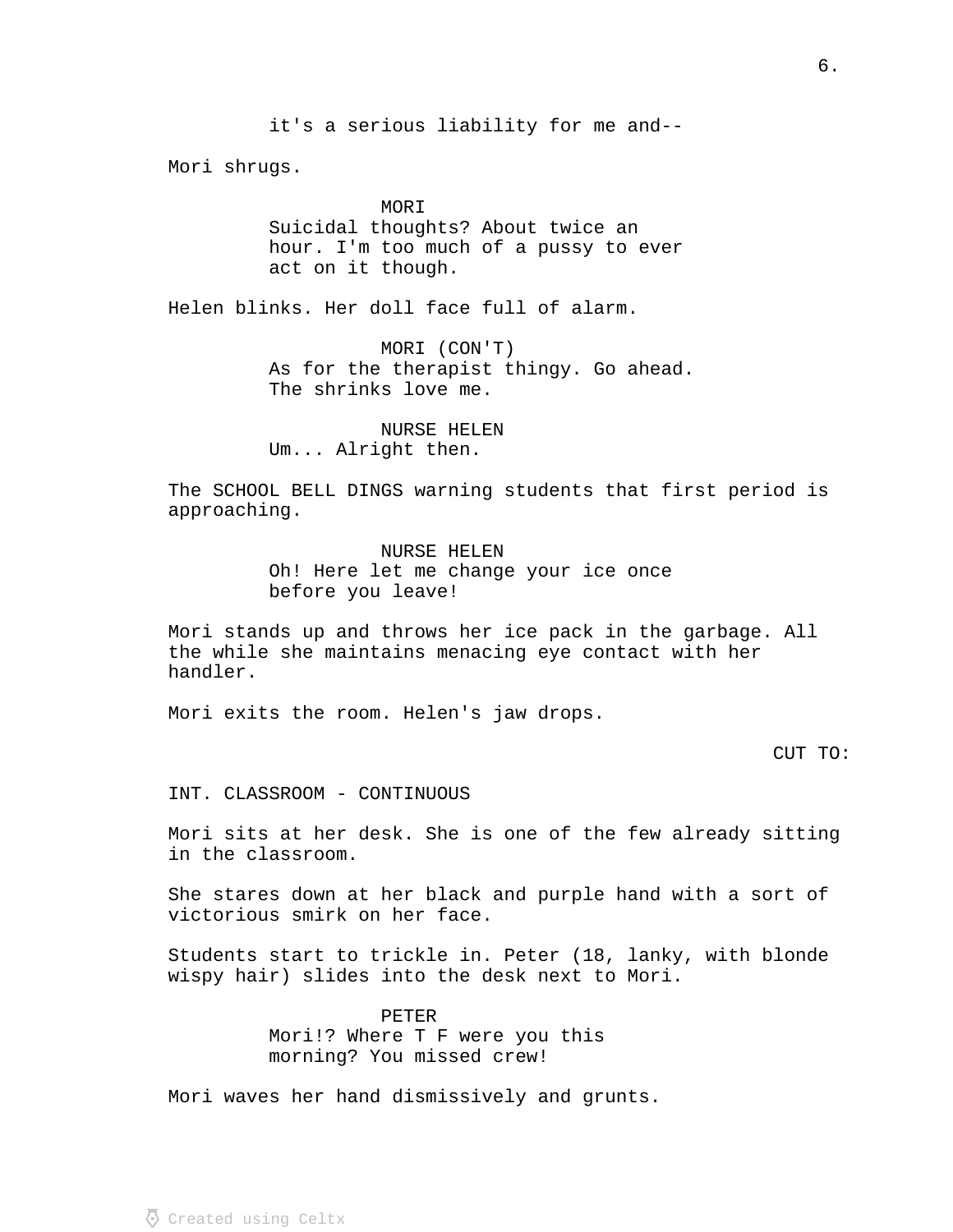Mori shrugs.

MORI Suicidal thoughts? About twice an hour. I'm too much of a pussy to ever act on it though.

Helen blinks. Her doll face full of alarm.

MORI (CON'T) As for the therapist thingy. Go ahead. The shrinks love me.

NURSE HELEN Um... Alright then.

The SCHOOL BELL DINGS warning students that first period is approaching.

> NURSE HELEN Oh! Here let me change your ice once before you leave!

Mori stands up and throws her ice pack in the garbage. All the while she maintains menacing eye contact with her handler.

Mori exits the room. Helen's jaw drops.

CUT TO:

INT. CLASSROOM - CONTINUOUS

Mori sits at her desk. She is one of the few already sitting in the classroom.

She stares down at her black and purple hand with a sort of victorious smirk on her face.

Students start to trickle in. Peter (18, lanky, with blonde wispy hair) slides into the desk next to Mori.

> PETER Mori!? Where T F were you this morning? You missed crew!

Mori waves her hand dismissively and grunts.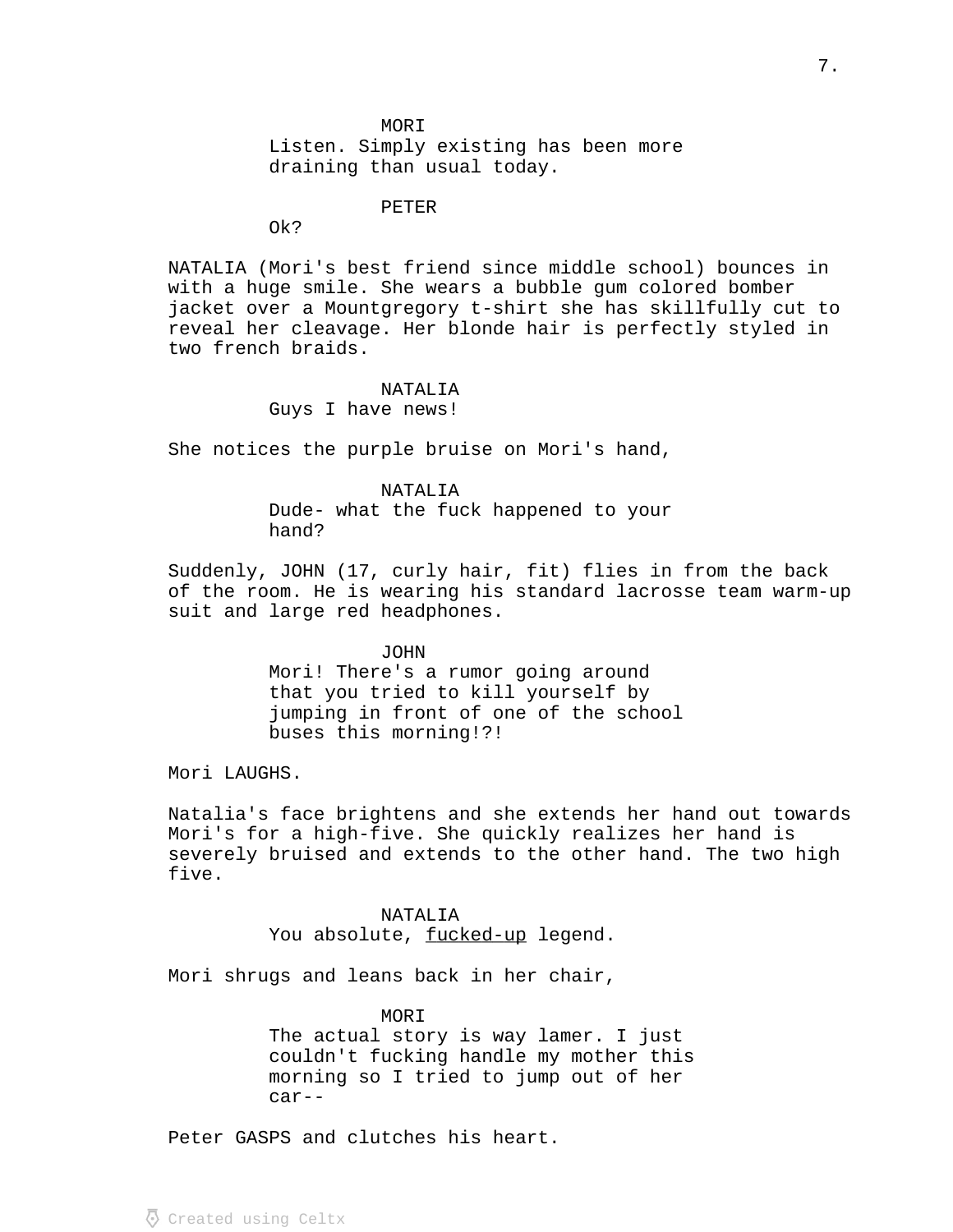**MORI** Listen. Simply existing has been more draining than usual today.

PETER

Ok?

NATALIA (Mori's best friend since middle school) bounces in with a huge smile. She wears a bubble gum colored bomber jacket over a Mountgregory t-shirt she has skillfully cut to reveal her cleavage. Her blonde hair is perfectly styled in two french braids.

## NATALIA

Guys I have news!

She notices the purple bruise on Mori's hand,

NATALIA Dude- what the fuck happened to your hand?

Suddenly, JOHN (17, curly hair, fit) flies in from the back of the room. He is wearing his standard lacrosse team warm-up suit and large red headphones.

> JOHN Mori! There's a rumor going around that you tried to kill yourself by jumping in front of one of the school buses this morning!?!

Mori LAUGHS.

Natalia's face brightens and she extends her hand out towards Mori's for a high-five. She quickly realizes her hand is severely bruised and extends to the other hand. The two high five.

### NATALIA

You absolute, fucked-up legend.

Mori shrugs and leans back in her chair,

### MORI

The actual story is way lamer. I just couldn't fucking handle my mother this morning so I tried to jump out of her car--

Peter GASPS and clutches his heart.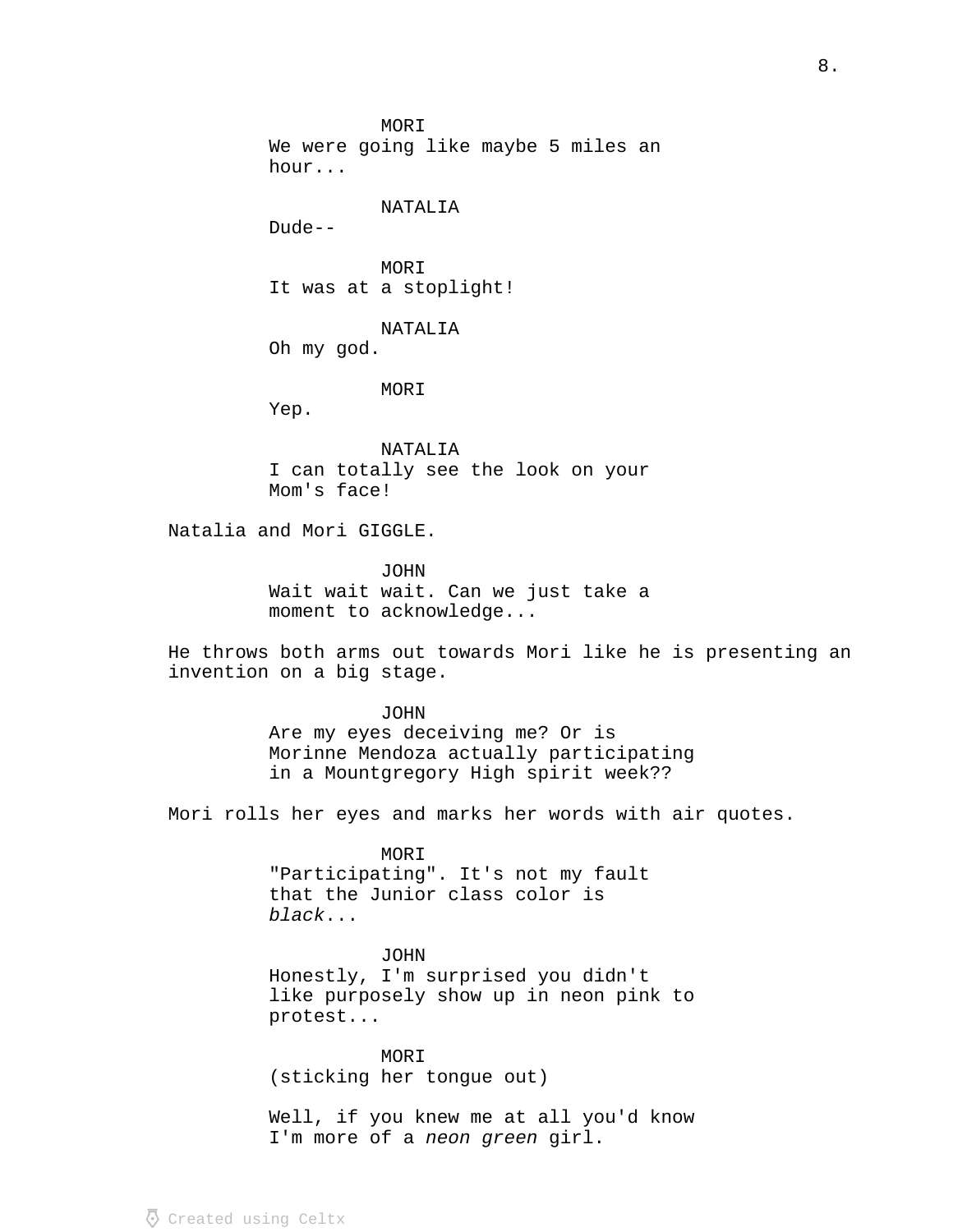MORI We were going like maybe 5 miles an hour...

NATALIA

Dude--

MORI It was at a stoplight!

NATALIA

Oh my god.

MORI

Yep.

NATALIA I can totally see the look on your Mom's face!

Natalia and Mori GIGGLE.

JOHN Wait wait wait. Can we just take a moment to acknowledge...

He throws both arms out towards Mori like he is presenting an invention on a big stage.

> JOHN Are my eyes deceiving me? Or is Morinne Mendoza actually participating in a Mountgregory High spirit week??

Mori rolls her eyes and marks her words with air quotes.

MORI "Participating". It's not my fault that the Junior class color is ... black

JOHN Honestly, I'm surprised you didn't like purposely show up in neon pink to protest...

MORI (sticking her tongue out)

Well, if you knew me at all you'd know I'm more of a neon green girl.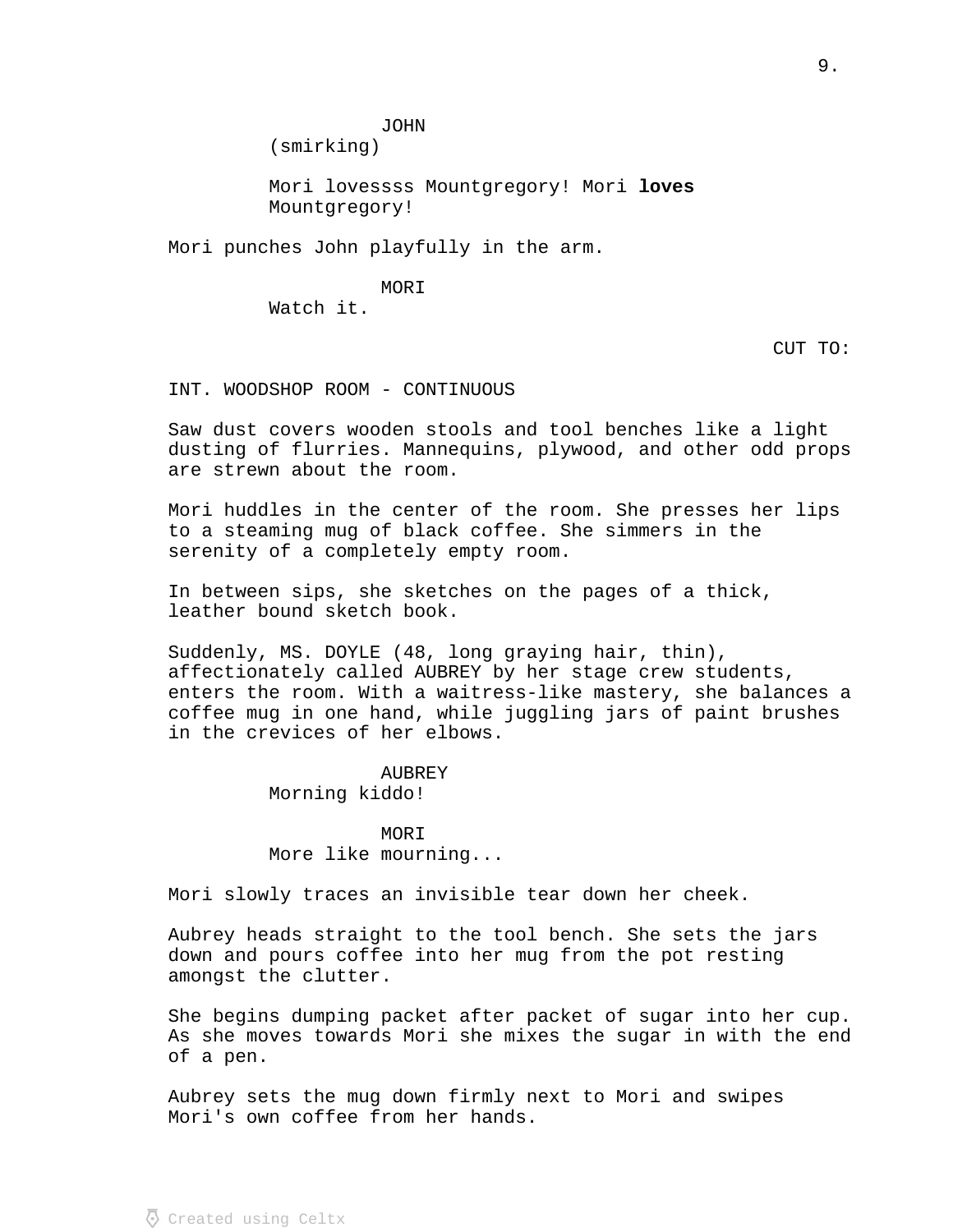JOHN

(smirking)

Mori lovessss Mountgregory! Mori **loves**  Mountgregory!

Mori punches John playfully in the arm.

MORI Watch it.

CUT TO:

INT. WOODSHOP ROOM - CONTINUOUS

Saw dust covers wooden stools and tool benches like a light dusting of flurries. Mannequins, plywood, and other odd props are strewn about the room.

Mori huddles in the center of the room. She presses her lips to a steaming mug of black coffee. She simmers in the serenity of a completely empty room.

In between sips, she sketches on the pages of a thick, leather bound sketch book.

Suddenly, MS. DOYLE (48, long graying hair, thin), affectionately called AUBREY by her stage crew students, enters the room. With a waitress-like mastery, she balances a coffee mug in one hand, while juggling jars of paint brushes in the crevices of her elbows.

# **AUBREY**

Morning kiddo!

MOR T More like mourning...

Mori slowly traces an invisible tear down her cheek.

Aubrey heads straight to the tool bench. She sets the jars down and pours coffee into her mug from the pot resting amongst the clutter.

She begins dumping packet after packet of sugar into her cup. As she moves towards Mori she mixes the sugar in with the end of a pen.

Aubrey sets the mug down firmly next to Mori and swipes Mori's own coffee from her hands.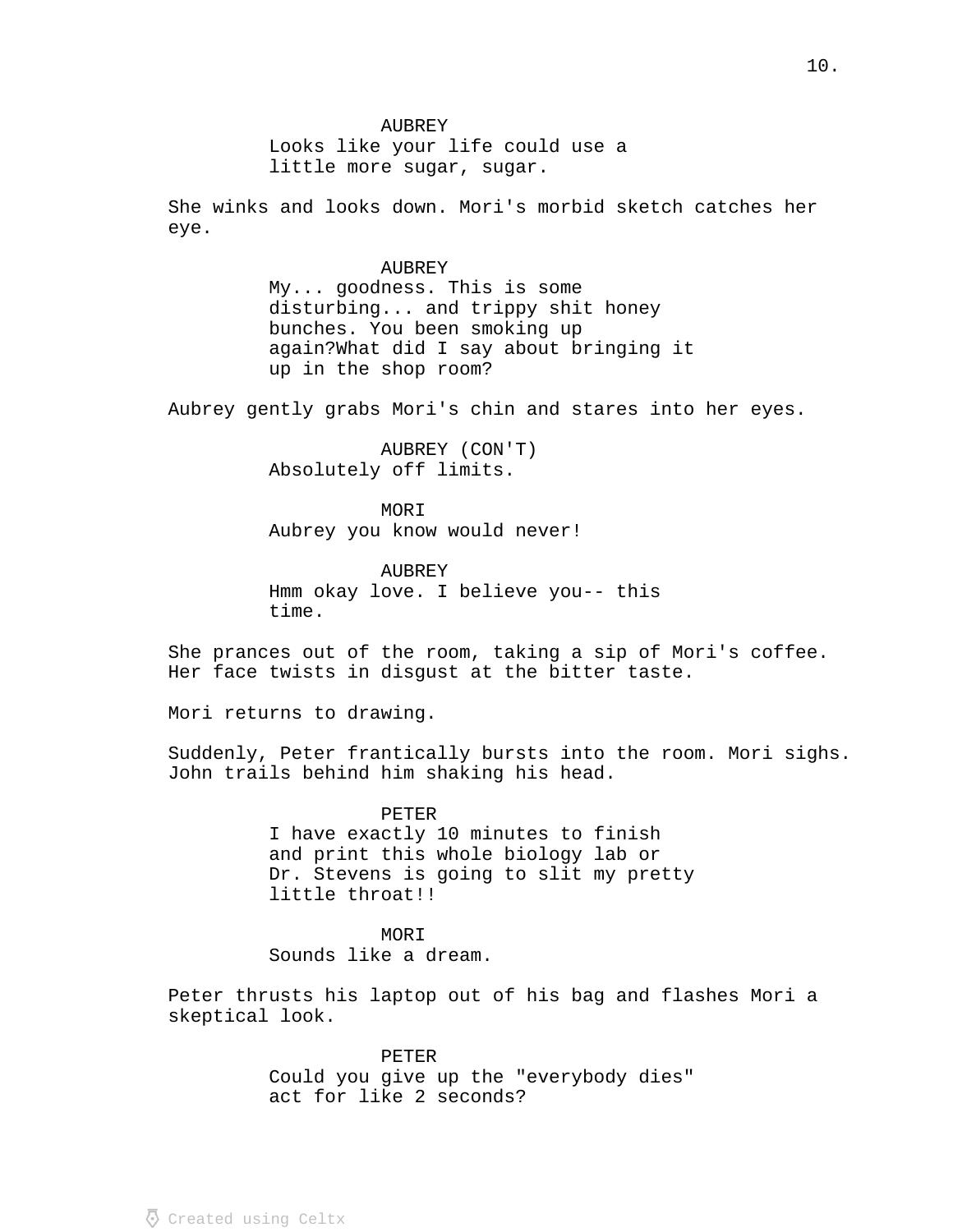AUBREY Looks like your life could use a little more sugar, sugar.

She winks and looks down. Mori's morbid sketch catches her eye.

> AUBREY My... goodness. This is some disturbing... and trippy shit honey bunches. You been smoking up again?What did I say about bringing it up in the shop room?

Aubrey gently grabs Mori's chin and stares into her eyes.

AUBREY (CON'T) Absolutely off limits.

MORI Aubrey you know would never!

AUBREY Hmm okay love. I believe you-- this time.

She prances out of the room, taking a sip of Mori's coffee. Her face twists in disgust at the bitter taste.

Mori returns to drawing.

Suddenly, Peter frantically bursts into the room. Mori sighs. John trails behind him shaking his head.

> PETER I have exactly 10 minutes to finish and print this whole biology lab or Dr. Stevens is going to slit my pretty little throat!!

MORI Sounds like a dream.

Peter thrusts his laptop out of his bag and flashes Mori a skeptical look.

> PETER Could you give up the "everybody dies" act for like 2 seconds?

 $\overline{\Phi}$  Created using Celtx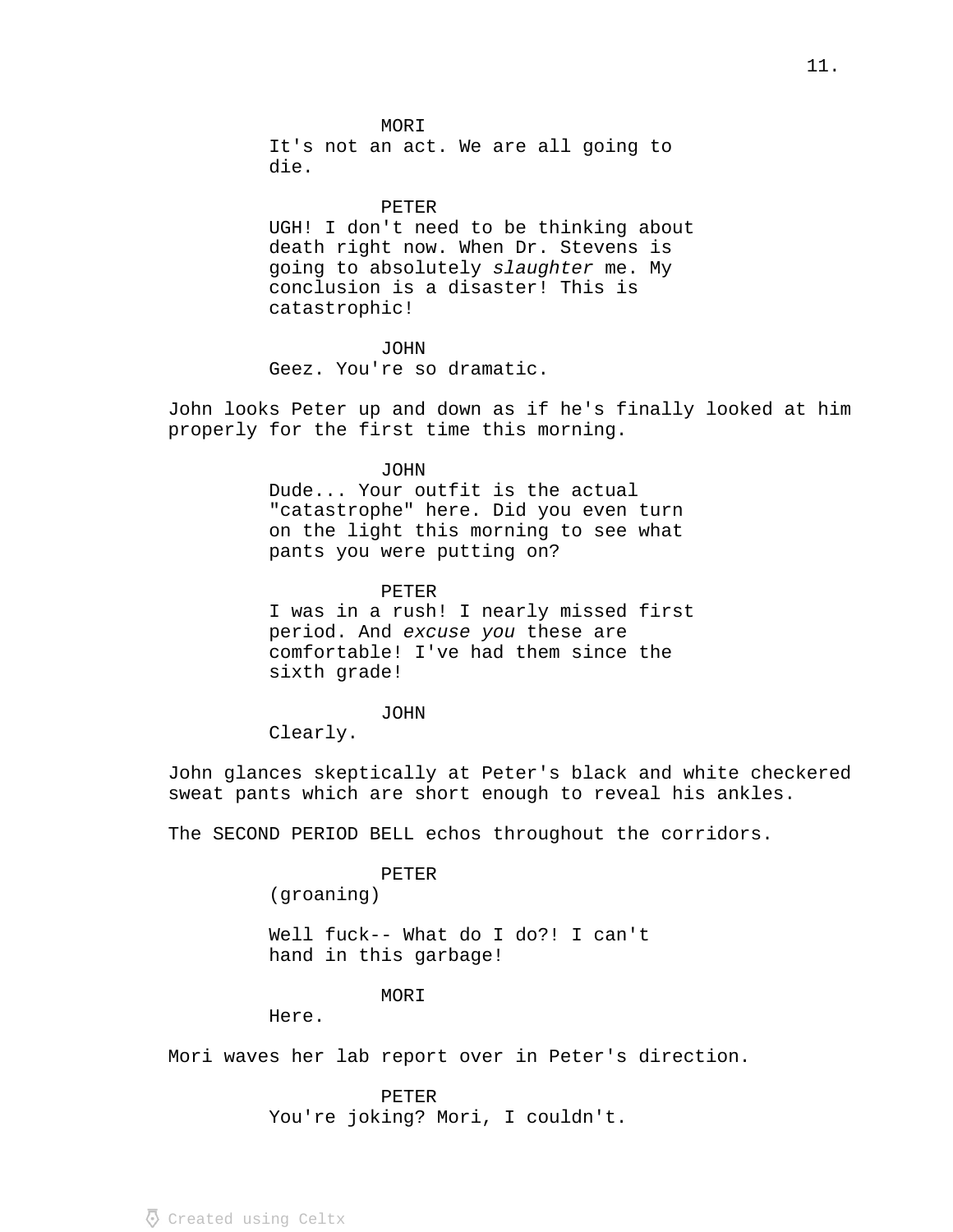#### PETER

UGH! I don't need to be thinking about death right now. When Dr. Stevens is going to absolutely slaughter me. My conclusion is a disaster! This is catastrophic!

### JOHN

Geez. You're so dramatic.

John looks Peter up and down as if he's finally looked at him properly for the first time this morning.

## JOHN

Dude... Your outfit is the actual "catastrophe" here. Did you even turn on the light this morning to see what pants you were putting on?

## PETER

I was in a rush! I nearly missed first period. And excuse you these are comfortable! I've had them since the sixth grade!

### JOHN

Clearly.

John glances skeptically at Peter's black and white checkered sweat pants which are short enough to reveal his ankles.

The SECOND PERIOD BELL echos throughout the corridors.

## PETER

(groaning)

Well fuck-- What do I do?! I can't hand in this garbage!

### MORI

Here.

Mori waves her lab report over in Peter's direction.

# PETER

You're joking? Mori, I couldn't.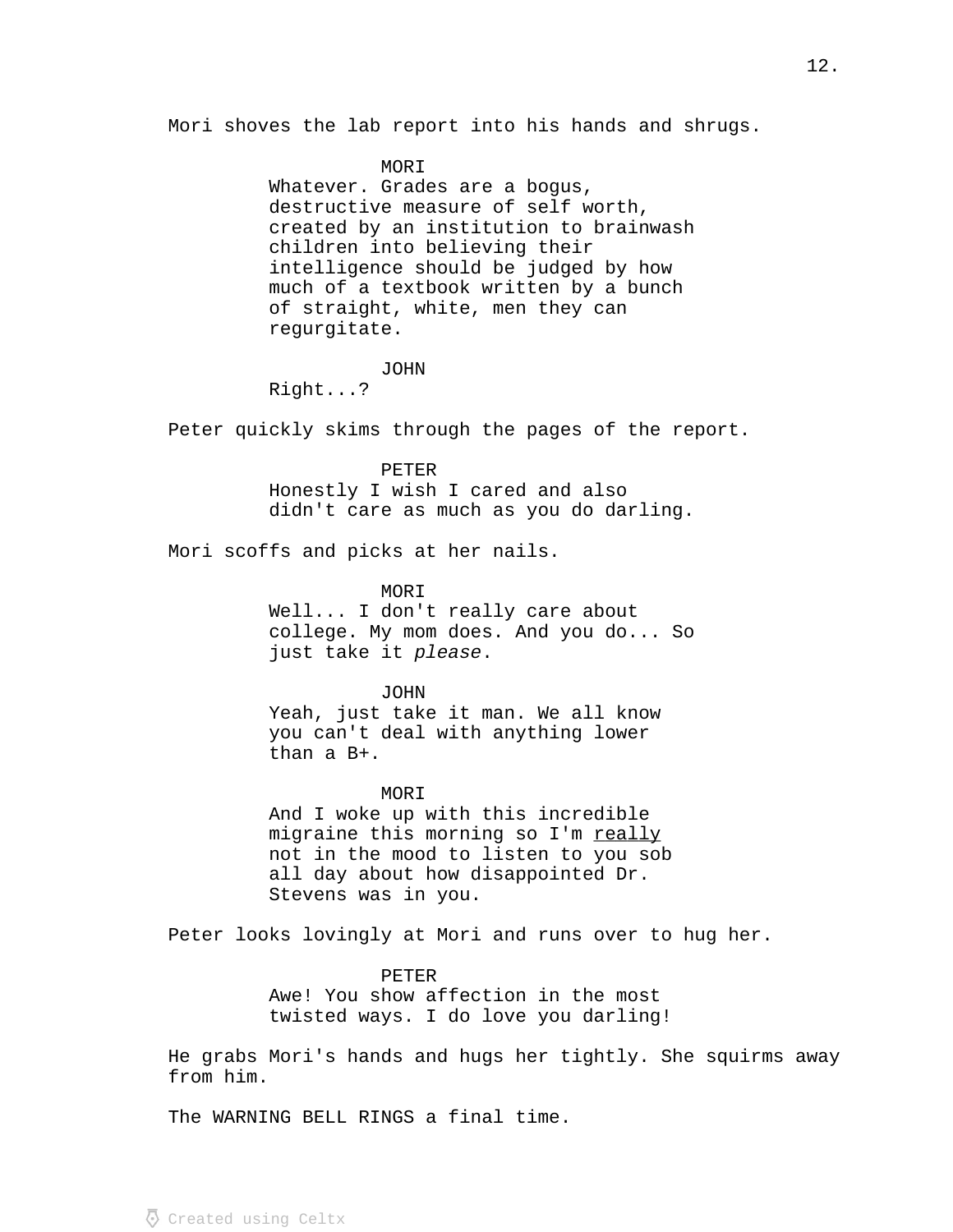Mori shoves the lab report into his hands and shrugs.

#### MORI

Whatever. Grades are a bogus, destructive measure of self worth, created by an institution to brainwash children into believing their intelligence should be judged by how much of a textbook written by a bunch of straight, white, men they can regurgitate.

## JOHN

Right...?

Peter quickly skims through the pages of the report.

#### PETER

Honestly I wish I cared and also didn't care as much as you do darling.

Mori scoffs and picks at her nails.

## MORI

Well... I don't really care about college. My mom does. And you do... So just take it please.

#### JOHN

Yeah, just take it man. We all know you can't deal with anything lower than a B+.

### MOR<sub>T</sub>

And I woke up with this incredible migraine this morning so I'm really not in the mood to listen to you sob all day about how disappointed Dr. Stevens was in you.

Peter looks lovingly at Mori and runs over to hug her.

### PETER

Awe! You show affection in the most twisted ways. I do love you darling!

He grabs Mori's hands and hugs her tightly. She squirms away from him.

The WARNING BELL RINGS a final time.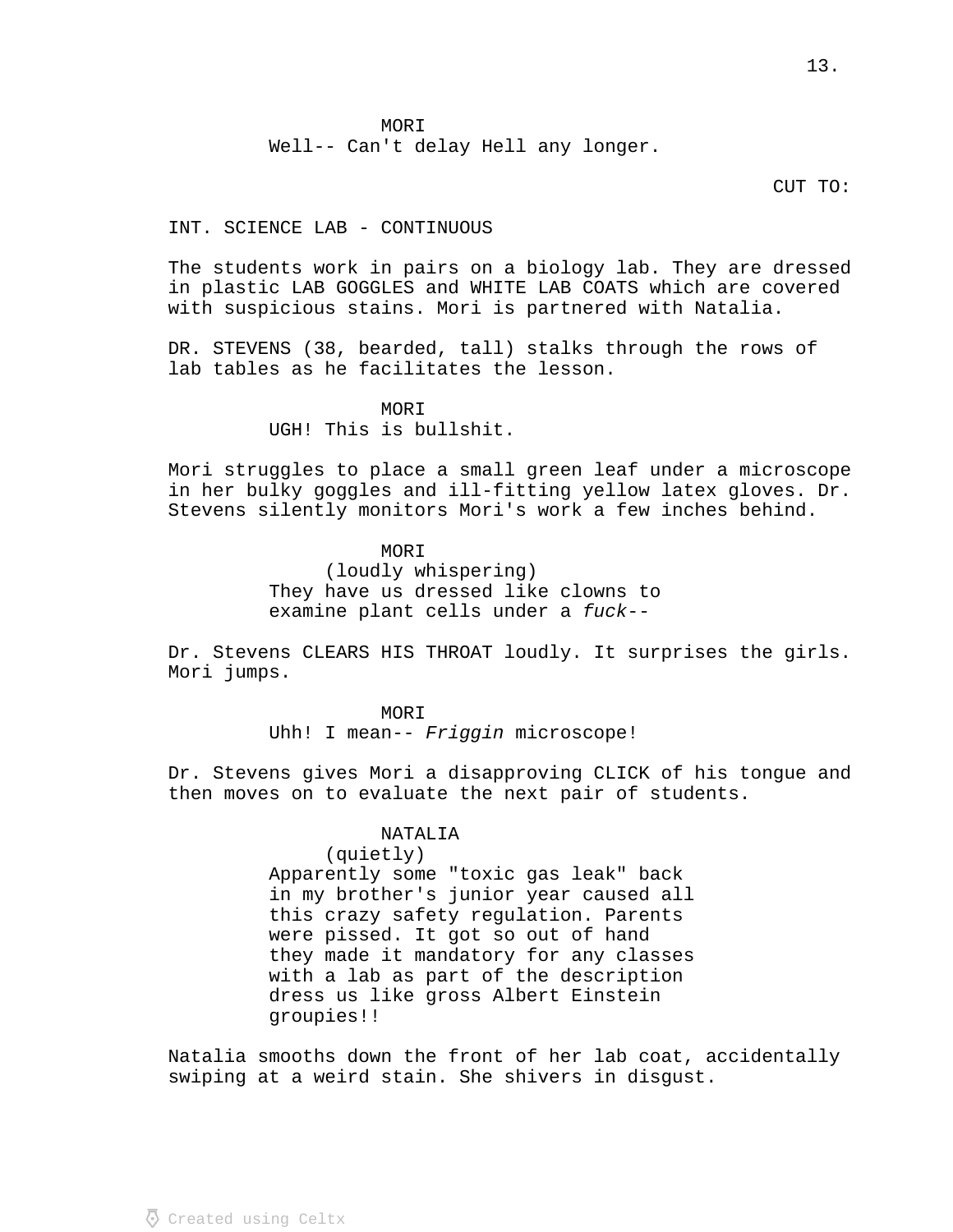**MORI** 

Well-- Can't delay Hell any longer.

# CUT TO:

## INT. SCIENCE LAB - CONTINUOUS

The students work in pairs on a biology lab. They are dressed in plastic LAB GOGGLES and WHITE LAB COATS which are covered with suspicious stains. Mori is partnered with Natalia.

DR. STEVENS (38, bearded, tall) stalks through the rows of lab tables as he facilitates the lesson.

> MORI UGH! This is bullshit.

Mori struggles to place a small green leaf under a microscope in her bulky goggles and ill-fitting yellow latex gloves. Dr. Stevens silently monitors Mori's work a few inches behind.

> MOR<sub>T</sub> (loudly whispering) They have us dressed like clowns to examine plant cells under a fuck--

Dr. Stevens CLEARS HIS THROAT loudly. It surprises the girls. Mori jumps.

> MORI Uhh! I mean--  $Friggin$  microscope!

Dr. Stevens gives Mori a disapproving CLICK of his tongue and then moves on to evaluate the next pair of students.

### NATALIA

(quietly)

Apparently some "toxic gas leak" back in my brother's junior year caused all this crazy safety regulation. Parents were pissed. It got so out of hand they made it mandatory for any classes with a lab as part of the description dress us like gross Albert Einstein groupies!!

Natalia smooths down the front of her lab coat, accidentally swiping at a weird stain. She shivers in disgust.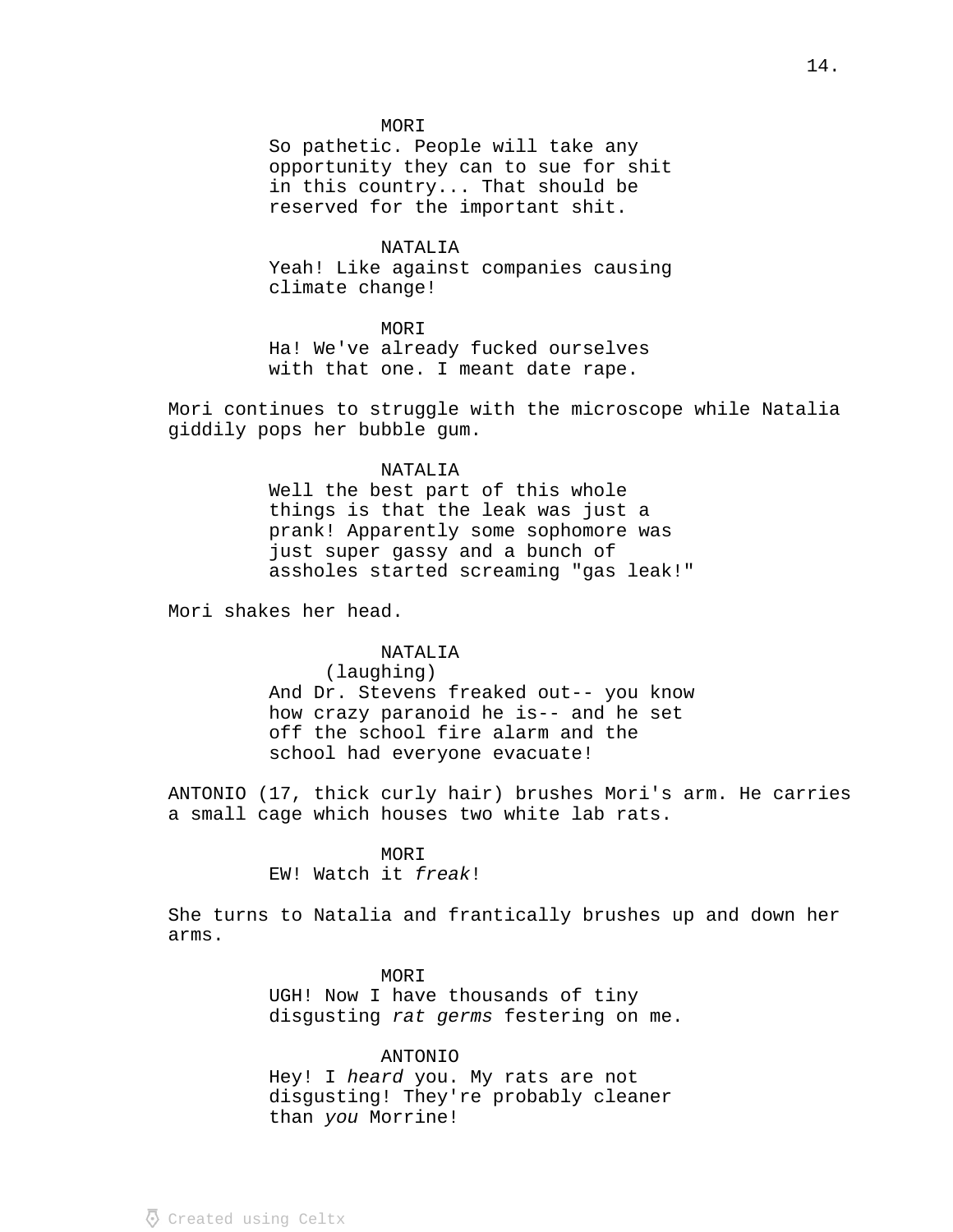### **MORI**

So pathetic. People will take any opportunity they can to sue for shit in this country... That should be reserved for the important shit.

# NATALIA

Yeah! Like against companies causing climate change!

### MORI

Ha! We've already fucked ourselves with that one. I meant date rape.

Mori continues to struggle with the microscope while Natalia giddily pops her bubble gum.

## NATALIA

Well the best part of this whole things is that the leak was just a prank! Apparently some sophomore was just super gassy and a bunch of assholes started screaming "gas leak!"

Mori shakes her head.

### NATALIA

(laughing)

And Dr. Stevens freaked out-- you know how crazy paranoid he is-- and he set off the school fire alarm and the school had everyone evacuate!

ANTONIO (17, thick curly hair) brushes Mori's arm. He carries a small cage which houses two white lab rats.

## MORI

EW! Watch it freak!

She turns to Natalia and frantically brushes up and down her arms.

## MORI

UGH! Now I have thousands of tiny disgusting rat germs festering on me.

### ANTONIO

Hey! I heard you. My rats are not disgusting! They're probably cleaner than you Morrine!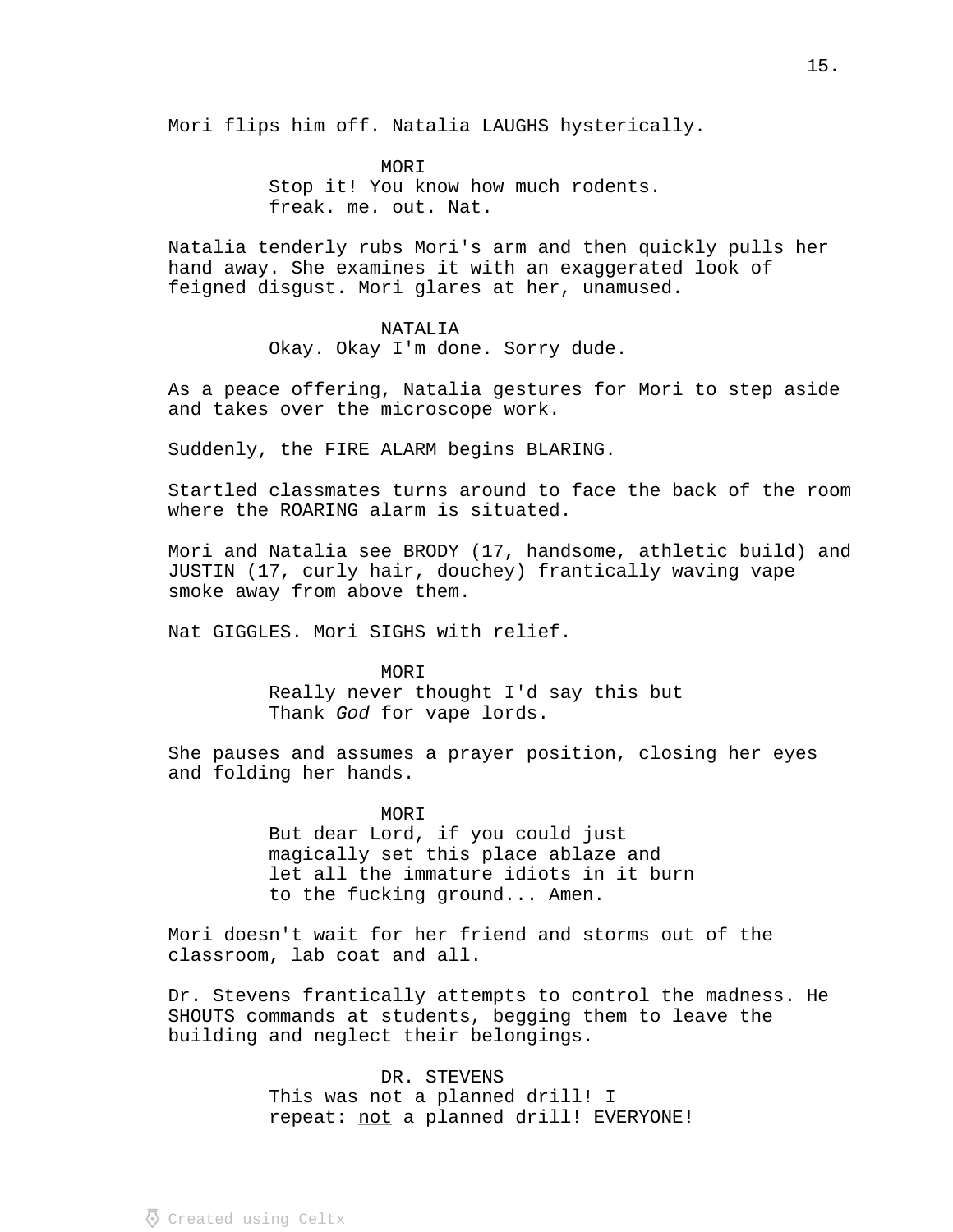Mori flips him off. Natalia LAUGHS hysterically.

MORI Stop it! You know how much rodents. freak. me. out. Nat.

Natalia tenderly rubs Mori's arm and then quickly pulls her hand away. She examines it with an exaggerated look of feigned disgust. Mori glares at her, unamused.

## NATALIA

Okay. Okay I'm done. Sorry dude.

As a peace offering, Natalia gestures for Mori to step aside and takes over the microscope work.

Suddenly, the FIRE ALARM begins BLARING.

Startled classmates turns around to face the back of the room where the ROARING alarm is situated.

Mori and Natalia see BRODY (17, handsome, athletic build) and JUSTIN (17, curly hair, douchey) frantically waving vape smoke away from above them.

Nat GIGGLES. Mori SIGHS with relief.

MORI Really never thought I'd say this but Thank God for vape lords.

She pauses and assumes a prayer position, closing her eyes and folding her hands.

> MORI But dear Lord, if you could just magically set this place ablaze and let all the immature idiots in it burn to the fucking ground... Amen.

Mori doesn't wait for her friend and storms out of the classroom, lab coat and all.

Dr. Stevens frantically attempts to control the madness. He SHOUTS commands at students, begging them to leave the building and neglect their belongings.

> DR. STEVENS This was not a planned drill! I repeat: not a planned drill! EVERYONE!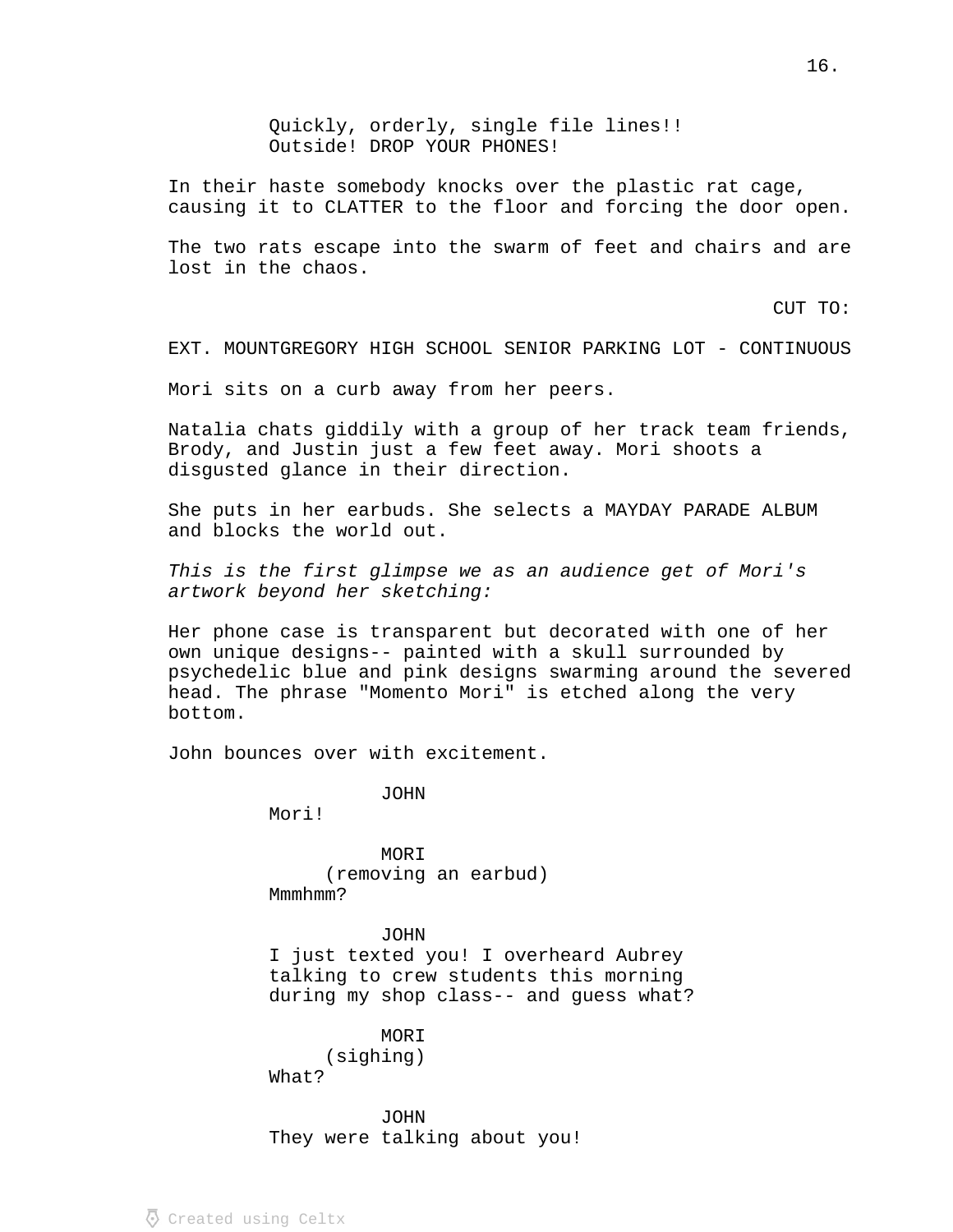Quickly, orderly, single file lines!! Outside! DROP YOUR PHONES!

In their haste somebody knocks over the plastic rat cage, causing it to CLATTER to the floor and forcing the door open.

The two rats escape into the swarm of feet and chairs and are lost in the chaos.

CUT TO:

EXT. MOUNTGREGORY HIGH SCHOOL SENIOR PARKING LOT - CONTINUOUS

Mori sits on a curb away from her peers.

Natalia chats giddily with a group of her track team friends, Brody, and Justin just a few feet away. Mori shoots a disgusted glance in their direction.

She puts in her earbuds. She selects a MAYDAY PARADE ALBUM and blocks the world out.

 This is the first glimpse we as an audience get of Mori's artwork beyond her sketching:

Her phone case is transparent but decorated with one of her own unique designs-- painted with a skull surrounded by psychedelic blue and pink designs swarming around the severed head. The phrase "Momento Mori" is etched along the very bottom.

John bounces over with excitement.

JOHN

Mori!

MORI (removing an earbud) Mmmhmm?

JOHN I just texted you! I overheard Aubrey talking to crew students this morning during my shop class-- and guess what?

MORI (sighing) What?

JOHN They were talking about you!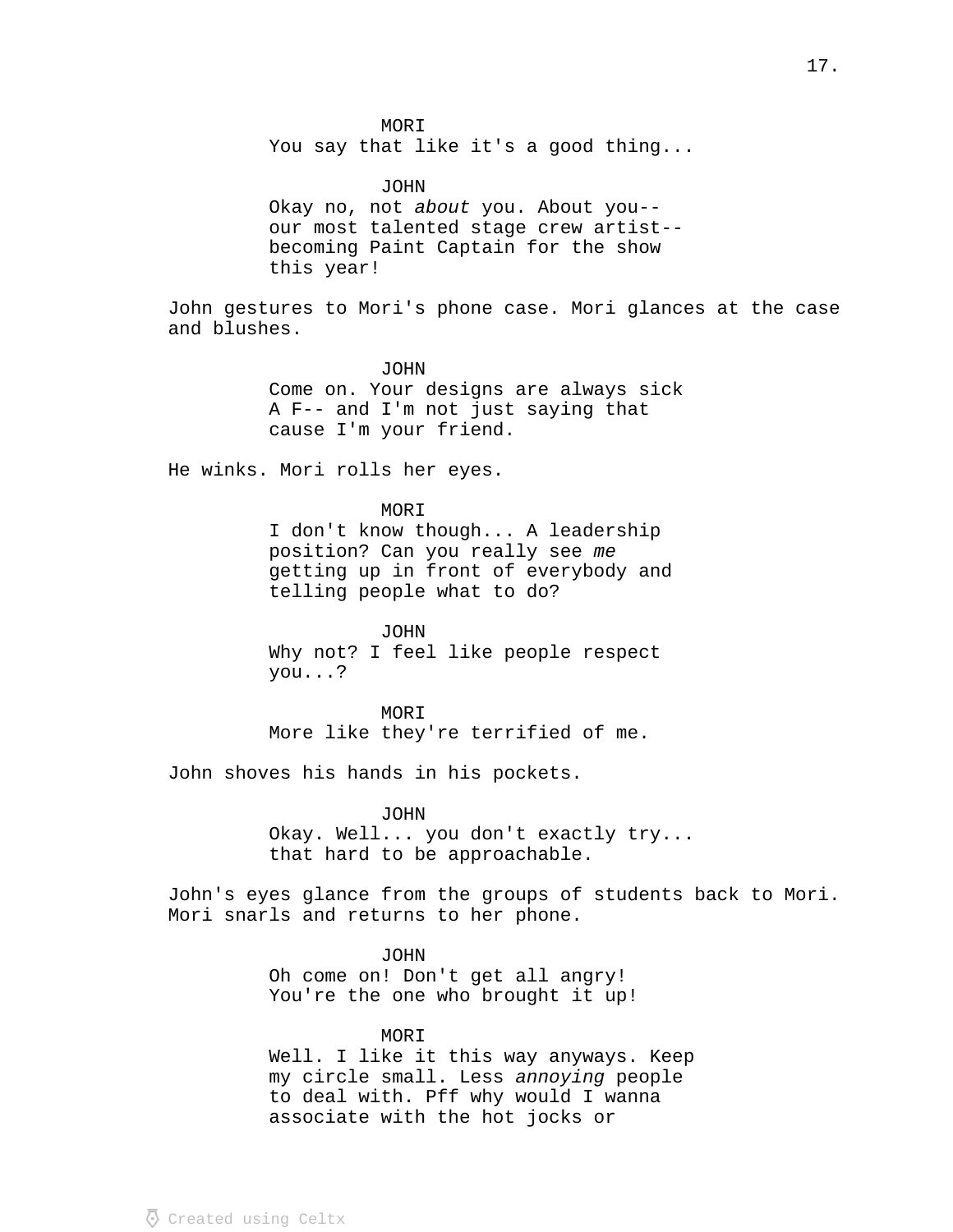**MORI** You say that like it's a good thing...

JOHN Okay no, not about you. About you-our most talented stage crew artist- becoming Paint Captain for the show this year!

John gestures to Mori's phone case. Mori glances at the case and blushes.

> JOHN Come on. Your designs are always sick A F-- and I'm not just saying that cause I'm your friend.

He winks. Mori rolls her eyes.

MORI I don't know though... A leadership position? Can you really see me getting up in front of everybody and telling people what to do?

JOHN Why not? I feel like people respect you...?

MORI More like they're terrified of me.

John shoves his hands in his pockets.

JOHN Okay. Well... you don't exactly try... that hard to be approachable.

John's eyes glance from the groups of students back to Mori. Mori snarls and returns to her phone.

> JOHN Oh come on! Don't get all angry! You're the one who brought it up!

MORI Well. I like it this way anyways. Keep my circle small. Less annoying people to deal with. Pff why would I wanna associate with the hot jocks or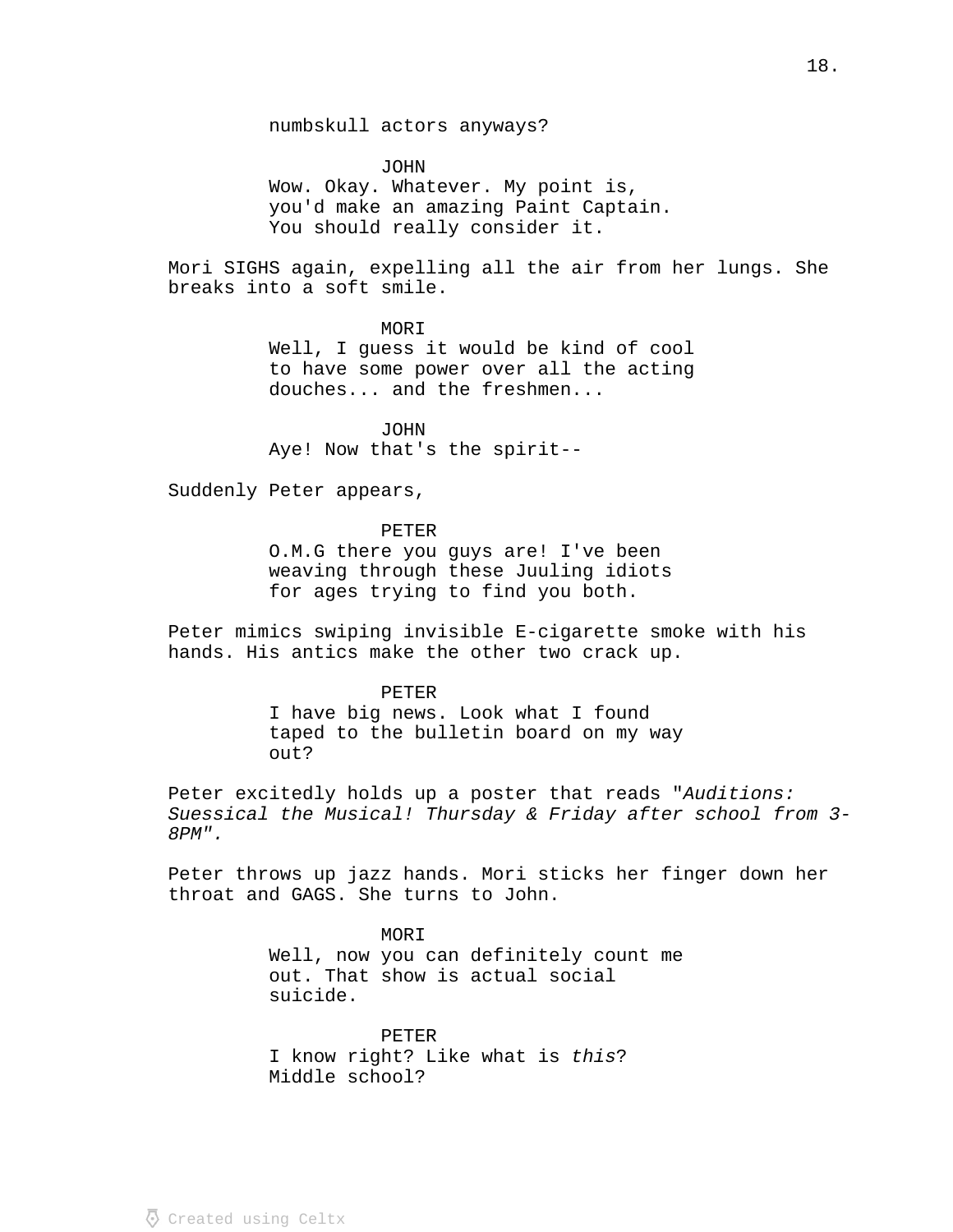numbskull actors anyways?

JOHN Wow. Okay. Whatever. My point is, you'd make an amazing Paint Captain. You should really consider it.

Mori SIGHS again, expelling all the air from her lungs. She breaks into a soft smile.

MORI

Well, I guess it would be kind of cool to have some power over all the acting douches... and the freshmen...

JOHN Aye! Now that's the spirit--

Suddenly Peter appears,

PETER

O.M.G there you guys are! I've been weaving through these Juuling idiots for ages trying to find you both.

Peter mimics swiping invisible E-cigarette smoke with his hands. His antics make the other two crack up.

PETER

I have big news. Look what I found taped to the bulletin board on my way out?

Peter excitedly holds up a poster that reads "Auditions: Suessical the Musical! Thursday & Friday after school from 3- 8PM".

Peter throws up jazz hands. Mori sticks her finger down her throat and GAGS. She turns to John.

> MORI Well, now you can definitely count me out. That show is actual social suicide.

PETER I know right? Like what is this? Middle school?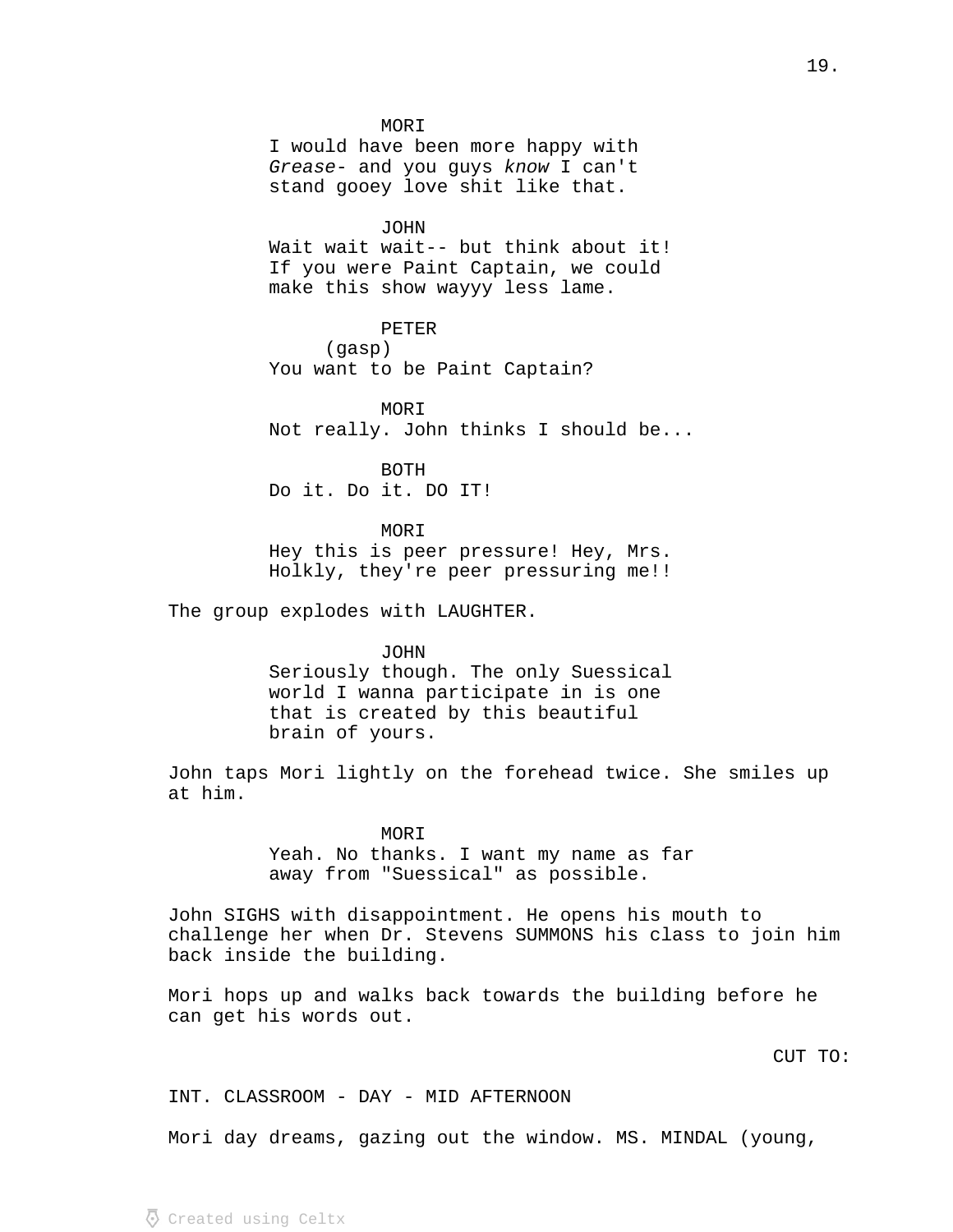**MORI** 

I would have been more happy with Grease- and you guys know I can't stand gooey love shit like that.

JOHN

Wait wait wait -- but think about it! If you were Paint Captain, we could make this show wayyy less lame.

PETER (gasp) You want to be Paint Captain?

MORI Not really. John thinks I should be...

BOTH Do it. Do it. DO IT!

MORI Hey this is peer pressure! Hey, Mrs. Holkly, they're peer pressuring me!!

The group explodes with LAUGHTER.

JOHN Seriously though. The only Suessical world I wanna participate in is one that is created by this beautiful brain of yours.

John taps Mori lightly on the forehead twice. She smiles up at him.

> MOR T Yeah. No thanks. I want my name as far away from "Suessical" as possible.

John SIGHS with disappointment. He opens his mouth to challenge her when Dr. Stevens SUMMONS his class to join him back inside the building.

Mori hops up and walks back towards the building before he can get his words out.

CUT TO:

INT. CLASSROOM - DAY - MID AFTERNOON

Mori day dreams, gazing out the window. MS. MINDAL (young,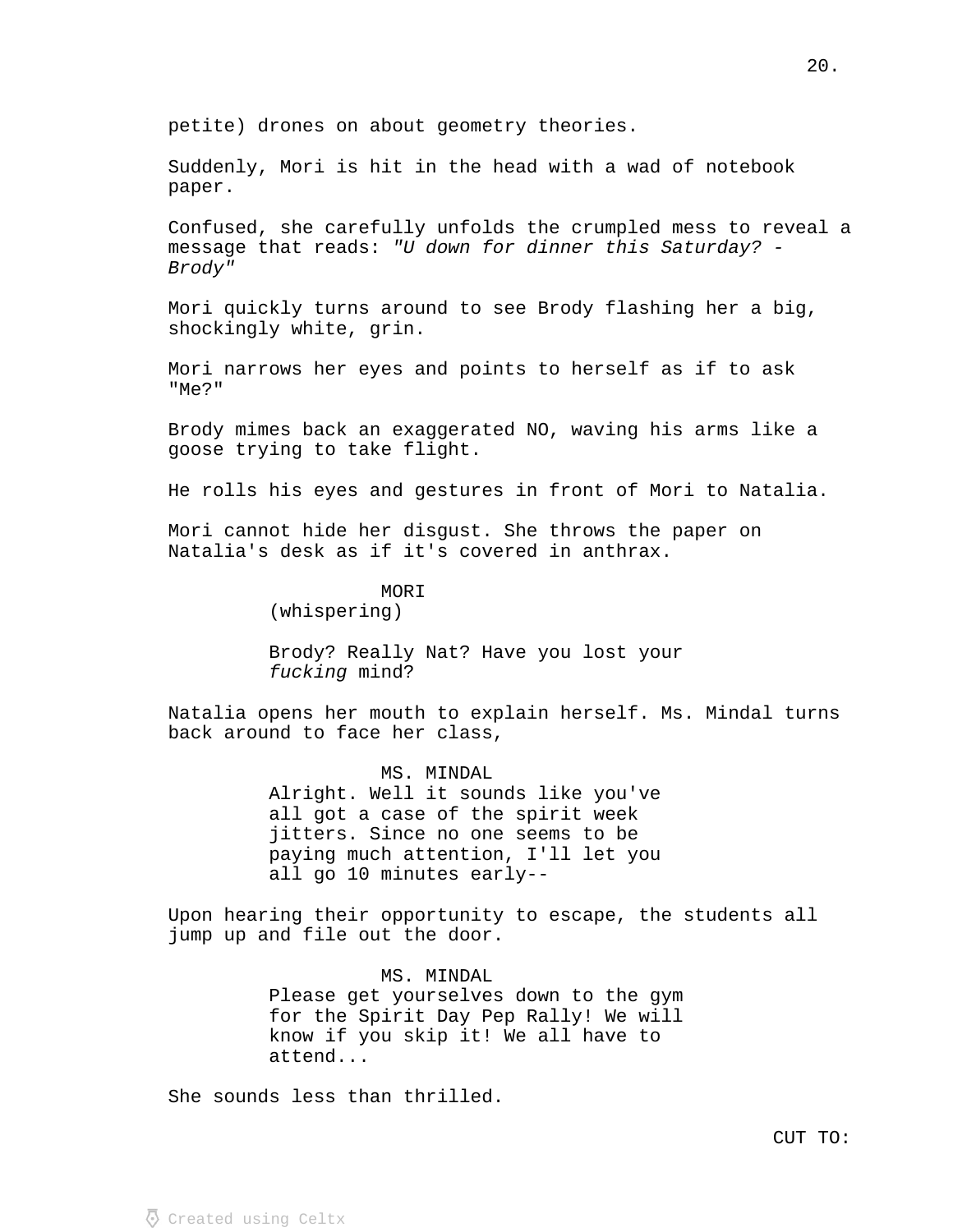petite) drones on about geometry theories.

Suddenly, Mori is hit in the head with a wad of notebook paper.

Confused, she carefully unfolds the crumpled mess to reveal a message that reads: "U down for dinner this Saturday? - Brody"

Mori quickly turns around to see Brody flashing her a big, shockingly white, grin.

Mori narrows her eyes and points to herself as if to ask "Me?"

Brody mimes back an exaggerated NO, waving his arms like a goose trying to take flight.

He rolls his eyes and gestures in front of Mori to Natalia.

Mori cannot hide her disgust. She throws the paper on Natalia's desk as if it's covered in anthrax.

> MORI (whispering)

Brody? Really Nat? Have you lost your fucking mind?

Natalia opens her mouth to explain herself. Ms. Mindal turns back around to face her class,

> MS. MINDAL Alright. Well it sounds like you've all got a case of the spirit week jitters. Since no one seems to be paying much attention, I'll let you all go 10 minutes early--

Upon hearing their opportunity to escape, the students all jump up and file out the door.

> MS. MINDAL Please get yourselves down to the gym for the Spirit Day Pep Rally! We will know if you skip it! We all have to attend...

She sounds less than thrilled.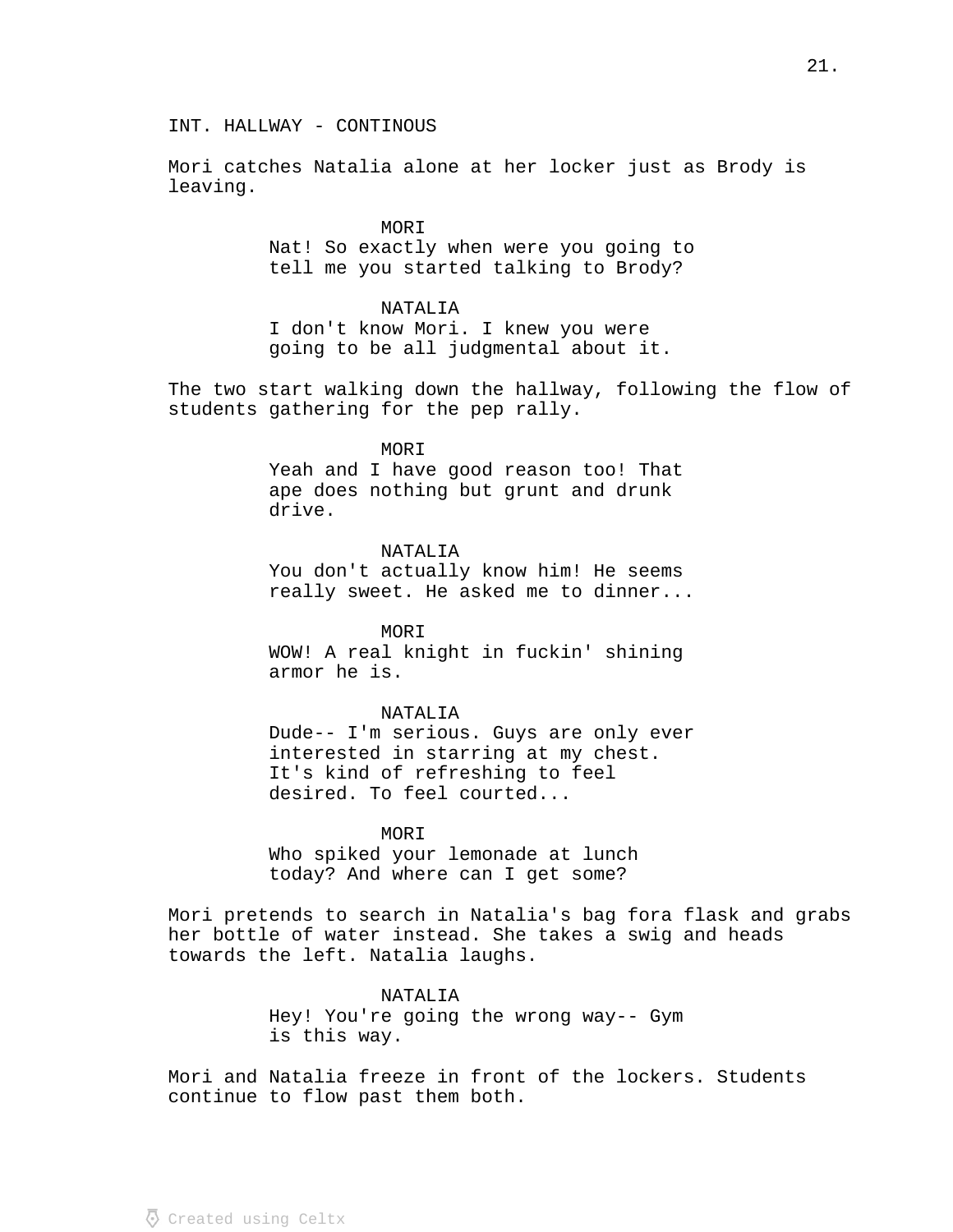INT. HALLWAY - CONTINOUS

Mori catches Natalia alone at her locker just as Brody is leaving.

> MOR T Nat! So exactly when were you going to tell me you started talking to Brody?

## NATALIA

I don't know Mori. I knew you were going to be all judgmental about it.

The two start walking down the hallway, following the flow of students gathering for the pep rally.

## MORI

Yeah and I have good reason too! That ape does nothing but grunt and drunk drive.

NATALIA You don't actually know him! He seems really sweet. He asked me to dinner...

MORI WOW! A real knight in fuckin' shining armor he is.

## NATALIA

Dude-- I'm serious. Guys are only ever interested in starring at my chest. It's kind of refreshing to feel desired. To feel courted...

MOR T

Who spiked your lemonade at lunch today? And where can I get some?

Mori pretends to search in Natalia's bag fora flask and grabs her bottle of water instead. She takes a swig and heads towards the left. Natalia laughs.

## NATALIA

Hey! You're going the wrong way-- Gym is this way.

Mori and Natalia freeze in front of the lockers. Students continue to flow past them both.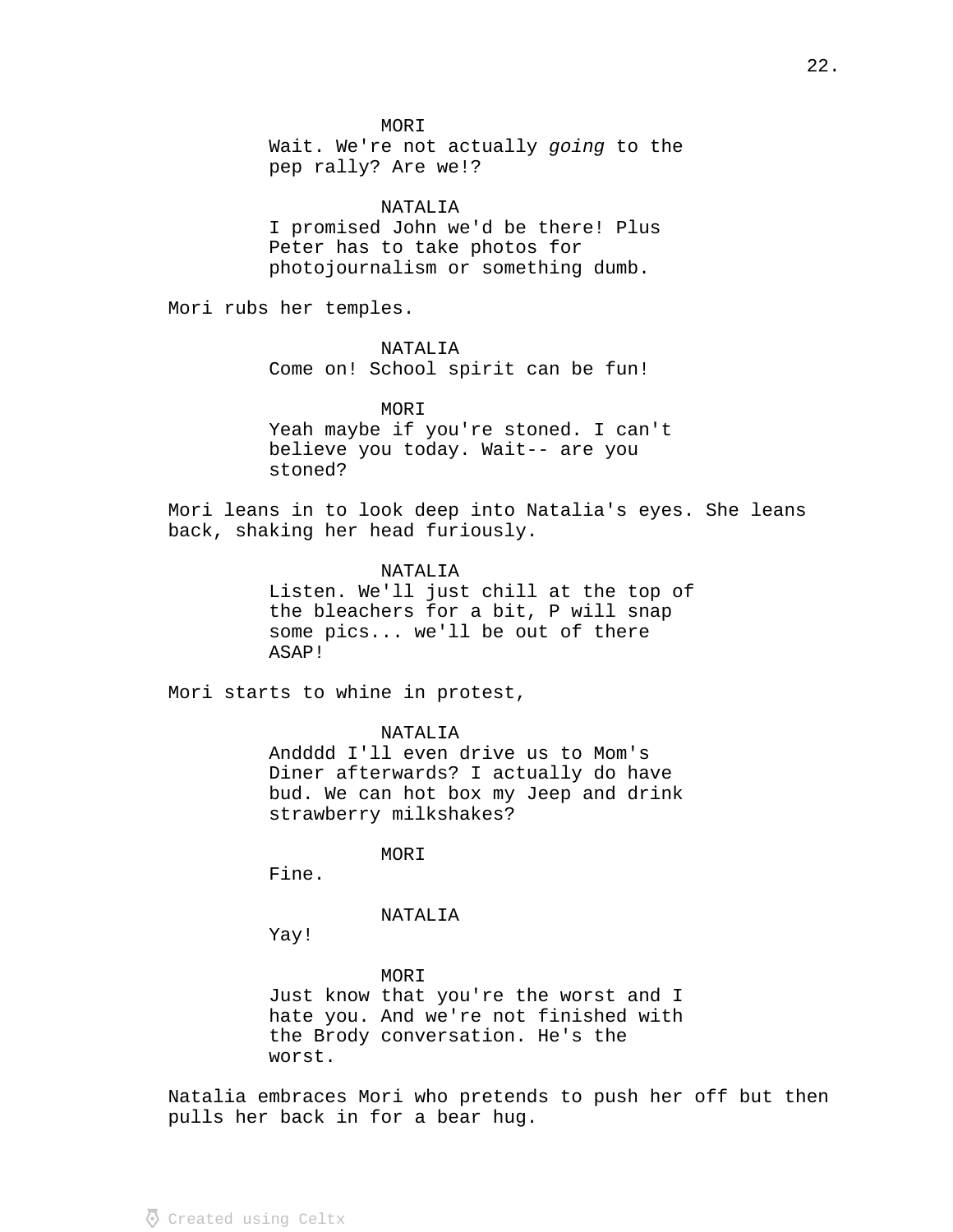**MORI** 

Wait. We're not actually going to the pep rally? Are we!?

#### NATALIA

I promised John we'd be there! Plus Peter has to take photos for photojournalism or something dumb.

Mori rubs her temples.

NATALIA

Come on! School spirit can be fun!

MORI

Yeah maybe if you're stoned. I can't believe you today. Wait-- are you stoned?

Mori leans in to look deep into Natalia's eyes. She leans back, shaking her head furiously.

NATALIA

Listen. We'll just chill at the top of the bleachers for a bit, P will snap some pics... we'll be out of there ASAP!

Mori starts to whine in protest,

NATALIA

Andddd I'll even drive us to Mom's Diner afterwards? I actually do have bud. We can hot box my Jeep and drink strawberry milkshakes?

MORI

Fine.

#### NATALIA

Yay!

MORI Just know that you're the worst and I hate you. And we're not finished with the Brody conversation. He's the worst.

Natalia embraces Mori who pretends to push her off but then pulls her back in for a bear hug.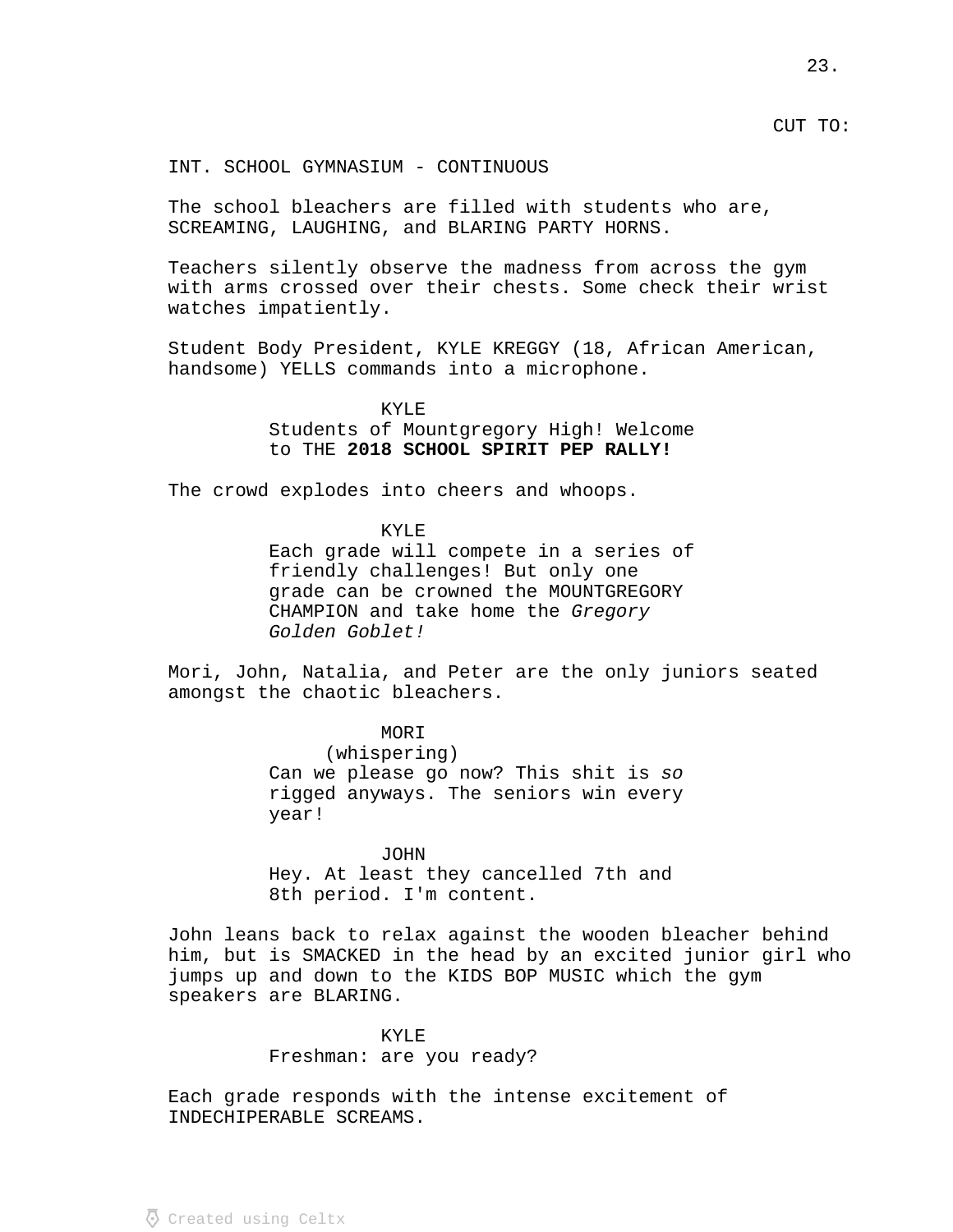CUT TO:

INT. SCHOOL GYMNASIUM - CONTINUOUS

The school bleachers are filled with students who are, SCREAMING, LAUGHING, and BLARING PARTY HORNS.

Teachers silently observe the madness from across the gym with arms crossed over their chests. Some check their wrist watches impatiently.

Student Body President, KYLE KREGGY (18, African American, handsome) YELLS commands into a microphone.

> KYLE Students of Mountgregory High! Welcome to THE **2018 SCHOOL SPIRIT PEP RALLY!**

The crowd explodes into cheers and whoops.

KYLE Each grade will compete in a series of friendly challenges! But only one grade can be crowned the MOUNTGREGORY CHAMPION and take home the Gregory Golden Goblet!

Mori, John, Natalia, and Peter are the only juniors seated amongst the chaotic bleachers.

> MOR<sub>T</sub> (whispering) Can we please go now? This shit is so rigged anyways. The seniors win every year!

JOHN Hey. At least they cancelled 7th and 8th period. I'm content.

John leans back to relax against the wooden bleacher behind him, but is SMACKED in the head by an excited junior girl who jumps up and down to the KIDS BOP MUSIC which the gym speakers are BLARING.

# KYLE

Freshman: are you ready?

Each grade responds with the intense excitement of INDECHIPERABLE SCREAMS.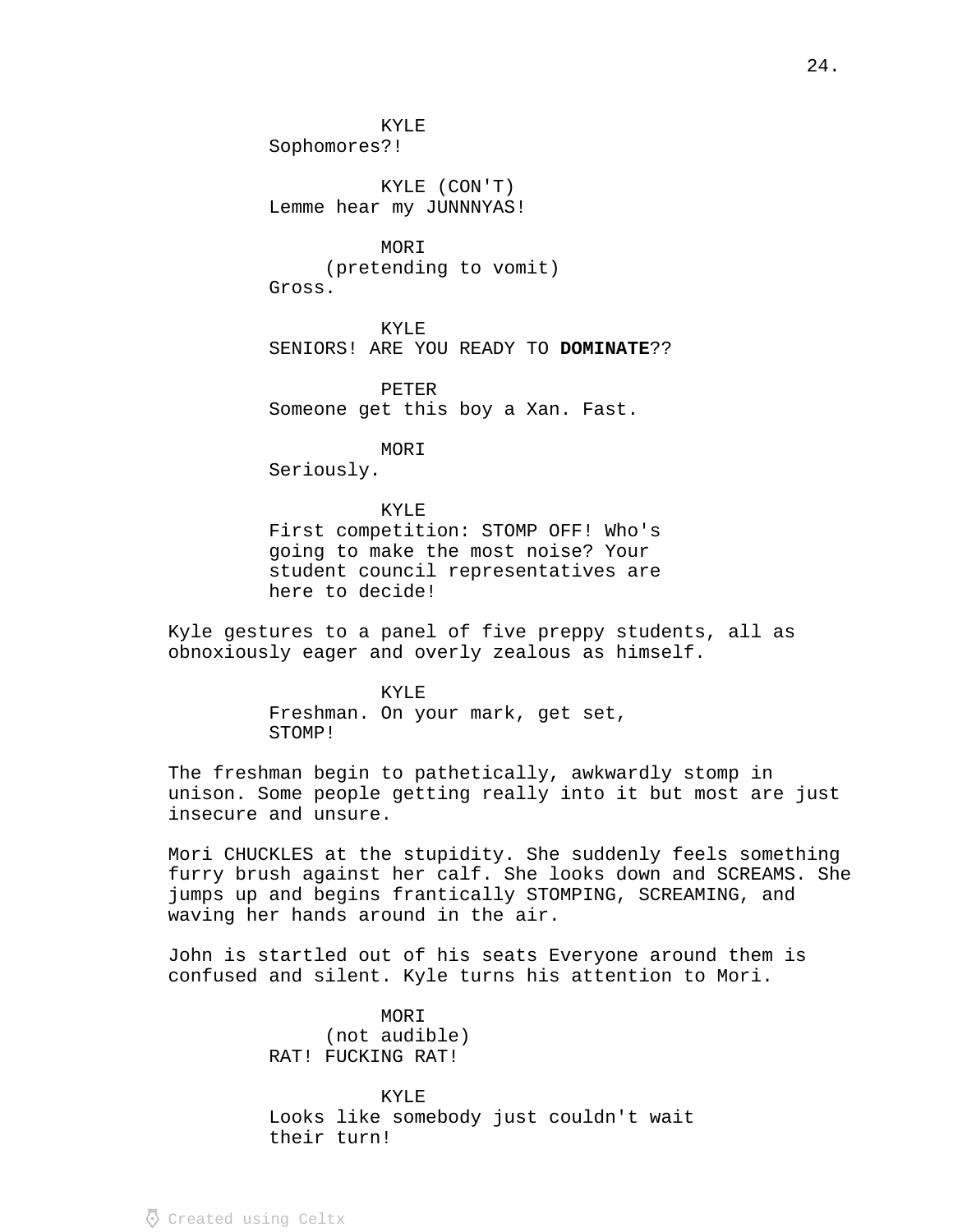KYLE

Sophomores?!

KYLE (CON'T) Lemme hear my JUNNNYAS!

MOR<sub>T</sub> (pretending to vomit) Gross.

KYLE SENIORS! ARE YOU READY TO **DOMINATE** ??

PETER Someone get this boy a Xan. Fast.

MORI

Seriously.

KYLE First competition: STOMP OFF! Who's going to make the most noise? Your student council representatives are here to decide!

Kyle gestures to a panel of five preppy students, all as obnoxiously eager and overly zealous as himself.

> KYLE Freshman. On your mark, get set, STOMP!

The freshman begin to pathetically, awkwardly stomp in unison. Some people getting really into it but most are just insecure and unsure.

Mori CHUCKLES at the stupidity. She suddenly feels something furry brush against her calf. She looks down and SCREAMS. She jumps up and begins frantically STOMPING, SCREAMING, and waving her hands around in the air.

John is startled out of his seats Everyone around them is confused and silent. Kyle turns his attention to Mori.

> MORI (not audible) RAT! FUCKING RAT!

KYLE Looks like somebody just couldn't wait their turn!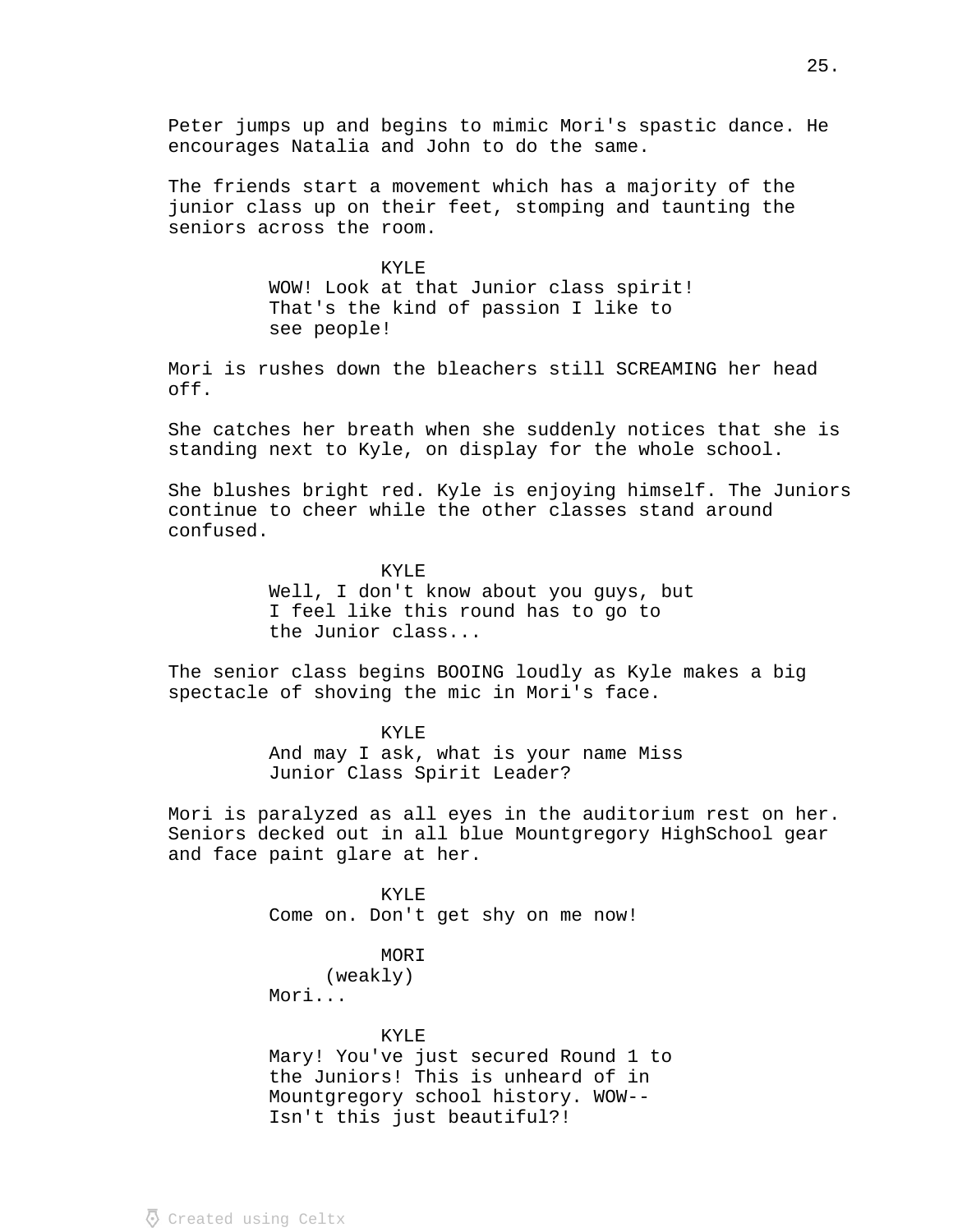Peter jumps up and begins to mimic Mori's spastic dance. He encourages Natalia and John to do the same.

The friends start a movement which has a majority of the junior class up on their feet, stomping and taunting the seniors across the room.

> KYLE WOW! Look at that Junior class spirit! That's the kind of passion I like to see people!

Mori is rushes down the bleachers still SCREAMING her head off.

She catches her breath when she suddenly notices that she is standing next to Kyle, on display for the whole school.

She blushes bright red. Kyle is enjoying himself. The Juniors continue to cheer while the other classes stand around confused.

> KYLE Well, I don't know about you guys, but I feel like this round has to go to the Junior class...

The senior class begins BOOING loudly as Kyle makes a big spectacle of shoving the mic in Mori's face.

> KYLE And may I ask, what is your name Miss Junior Class Spirit Leader?

Mori is paralyzed as all eyes in the auditorium rest on her. Seniors decked out in all blue Mountgregory HighSchool gear and face paint glare at her.

> KYLE Come on. Don't get shy on me now!

> > MORI (weakly)

Mori...

# KYLE

Mary! You've just secured Round 1 to the Juniors! This is unheard of in Mountgregory school history. WOW-- Isn't this just beautiful?!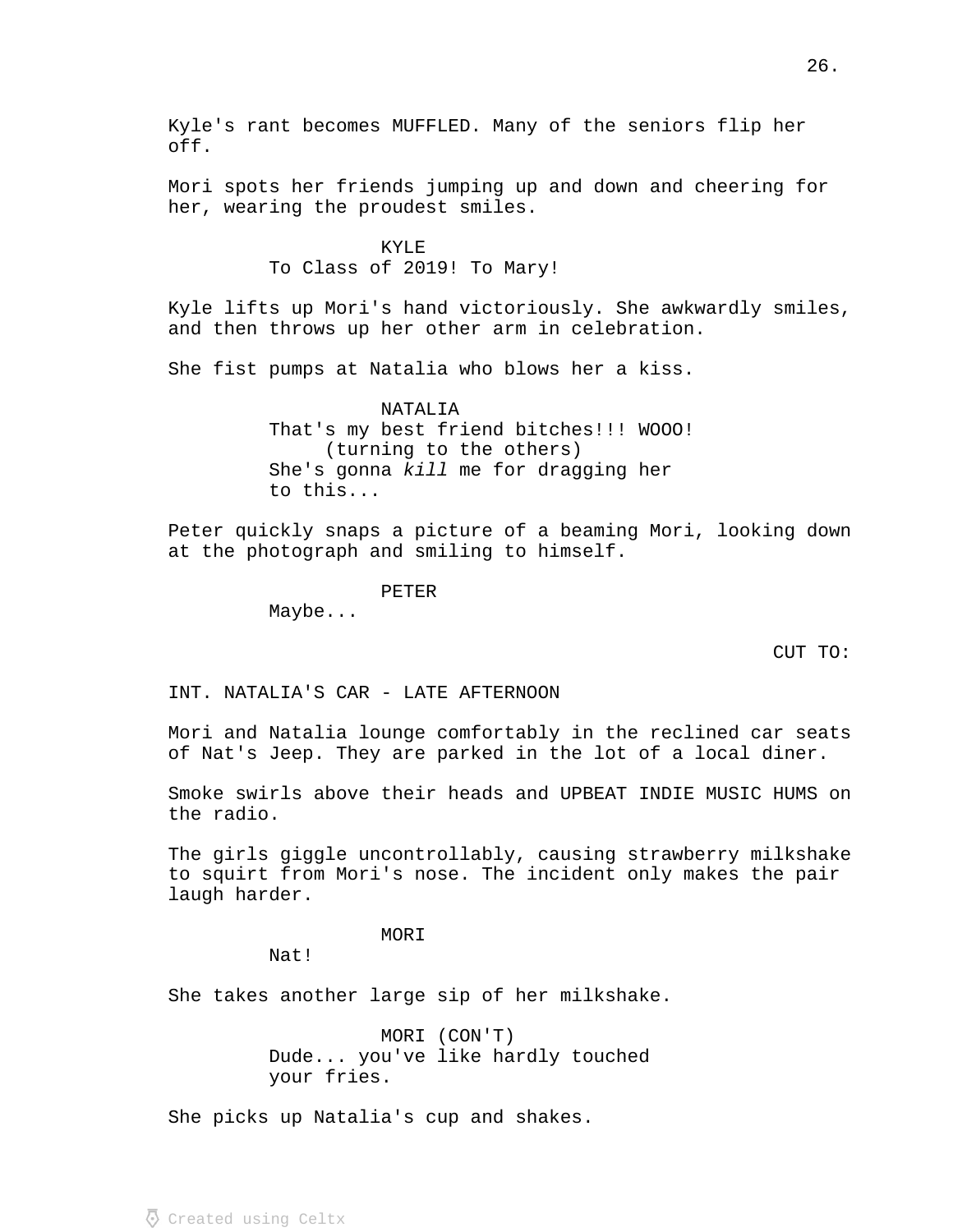Kyle's rant becomes MUFFLED. Many of the seniors flip her off.

Mori spots her friends jumping up and down and cheering for her, wearing the proudest smiles.

# KYLE To Class of 2019! To Mary!

Kyle lifts up Mori's hand victoriously. She awkwardly smiles, and then throws up her other arm in celebration.

She fist pumps at Natalia who blows her a kiss.

### NATALIA

That's my best friend bitches!!! WOOO! (turning to the others) She's gonna kill me for dragging her to this...

Peter quickly snaps a picture of a beaming Mori, looking down at the photograph and smiling to himself.

PETER

Maybe...

CUT TO:

INT. NATALIA'S CAR - LATE AFTERNOON

Mori and Natalia lounge comfortably in the reclined car seats of Nat's Jeep. They are parked in the lot of a local diner.

Smoke swirls above their heads and UPBEAT INDIE MUSIC HUMS on the radio.

The girls giggle uncontrollably, causing strawberry milkshake to squirt from Mori's nose. The incident only makes the pair laugh harder.

## MORI

Nat!

She takes another large sip of her milkshake.

MORI (CON'T) Dude... you've like hardly touched your fries.

She picks up Natalia's cup and shakes.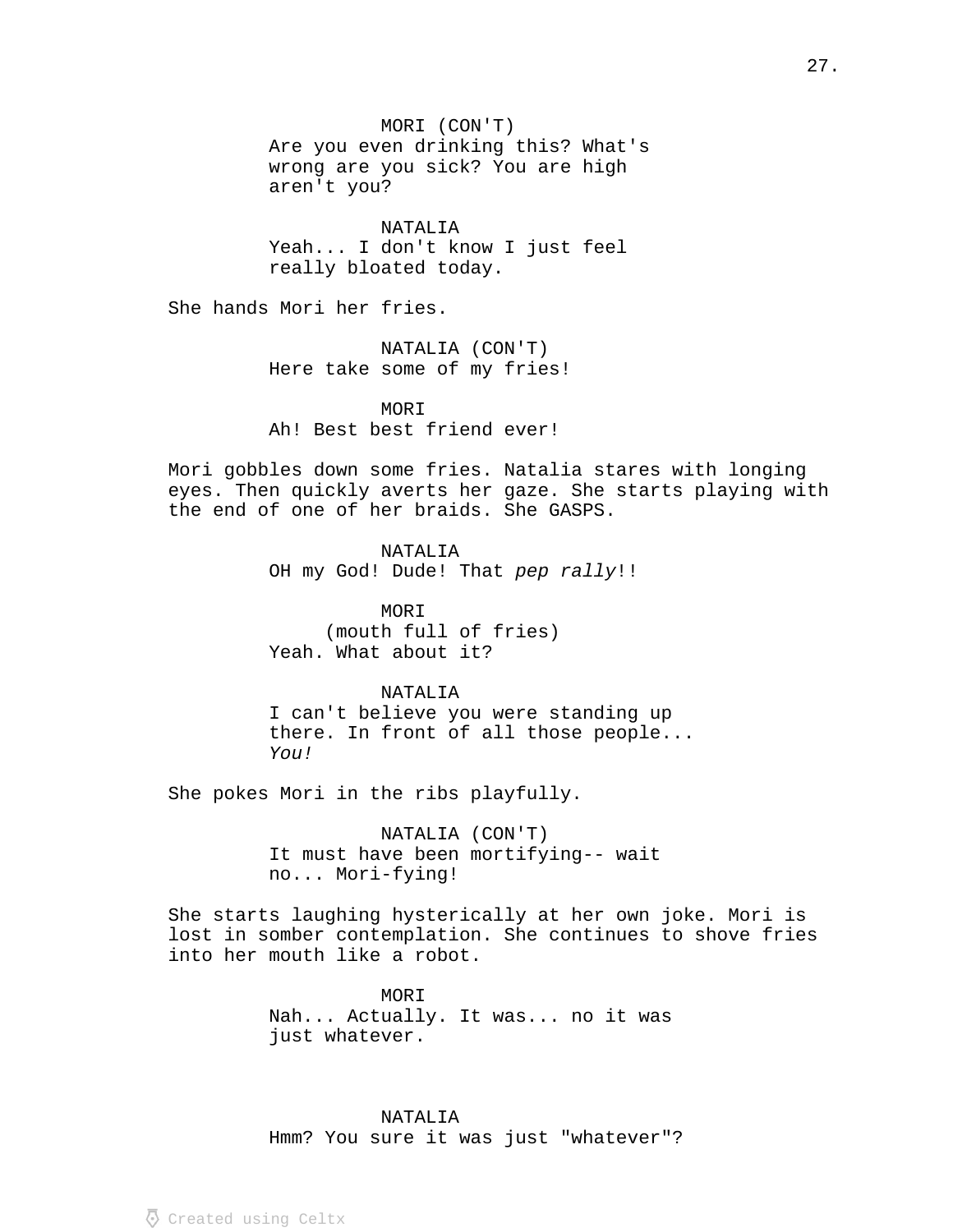MORI (CON'T) Are you even drinking this? What's wrong are you sick? You are high aren't you?

NATALIA Yeah... I don't know I just feel really bloated today.

She hands Mori her fries.

NATALIA (CON'T) Here take some of my fries!

MORI Ah! Best best friend ever!

Mori gobbles down some fries. Natalia stares with longing eyes. Then quickly averts her gaze. She starts playing with the end of one of her braids. She GASPS.

> NATALIA OH my God! Dude! That pep rally!!

MORI (mouth full of fries) Yeah. What about it?

## NATALIA

I can't believe you were standing up there. In front of all those people... You!

She pokes Mori in the ribs playfully.

NATALIA (CON'T) It must have been mortifying-- wait no... Mori-fying!

She starts laughing hysterically at her own joke. Mori is lost in somber contemplation. She continues to shove fries into her mouth like a robot.

> MORI Nah... Actually. It was... no it was just whatever.

NATALIA Hmm? You sure it was just "whatever"?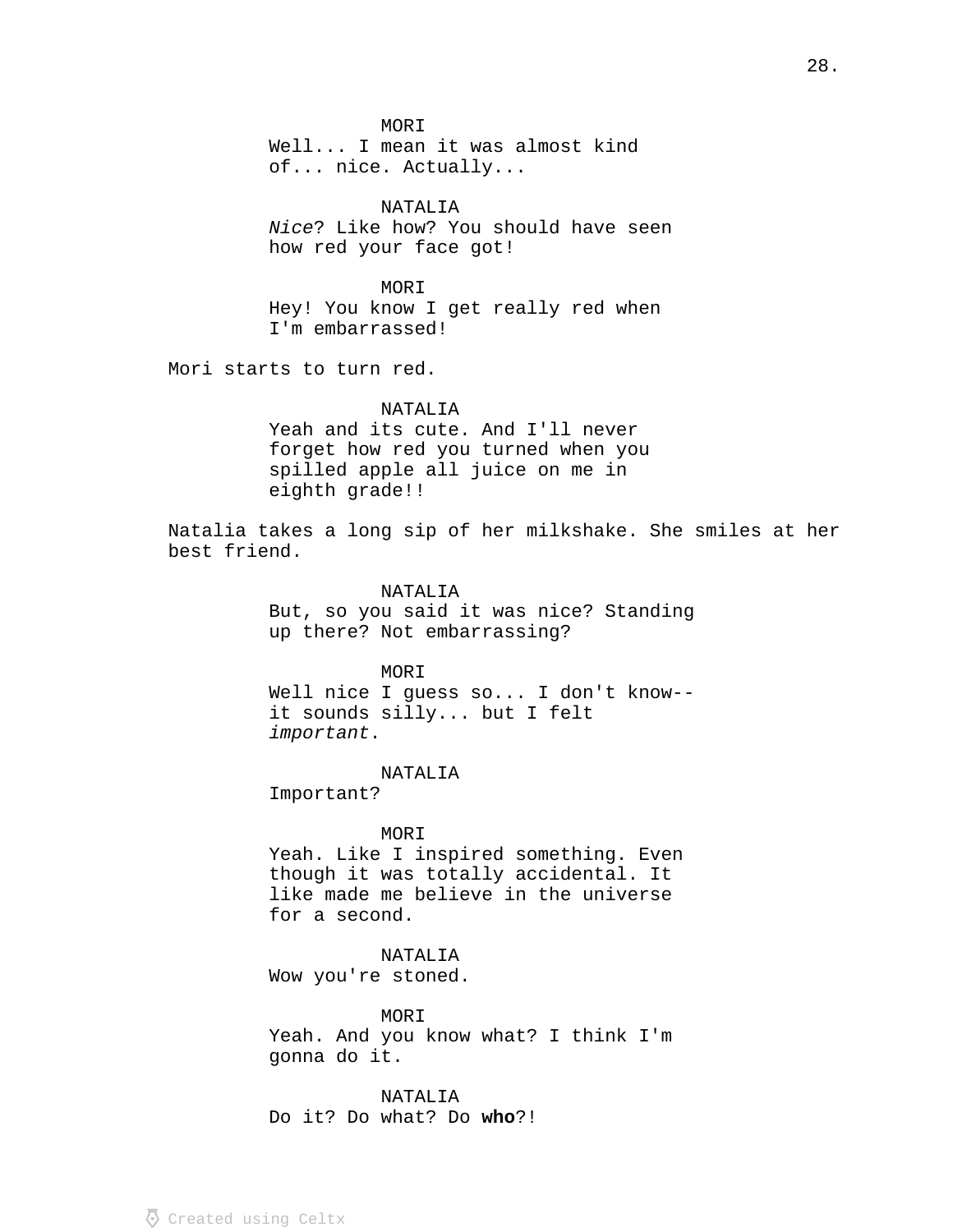MORI Well... I mean it was almost kind of... nice. Actually...

NATALIA Nice? Like how? You should have seen how red your face got!

MORI Hey! You know I get really red when I'm embarrassed!

Mori starts to turn red.

### NATALIA

Yeah and its cute. And I'll never forget how red you turned when you spilled apple all juice on me in eighth grade!!

Natalia takes a long sip of her milkshake. She smiles at her best friend.

### NATALIA

But, so you said it was nice? Standing up there? Not embarrassing?

### MORI

Well nice I guess so... I don't know- it sounds silly... but I felt . important

## NATALIA

Important?

## MOR<sub>T</sub>

Yeah. Like I inspired something. Even though it was totally accidental. It like made me believe in the universe for a second.

# NATALIA

Wow you're stoned.

MORI Yeah. And you know what? I think I'm gonna do it.

# NATALIA

Do it? Do what? Do who?!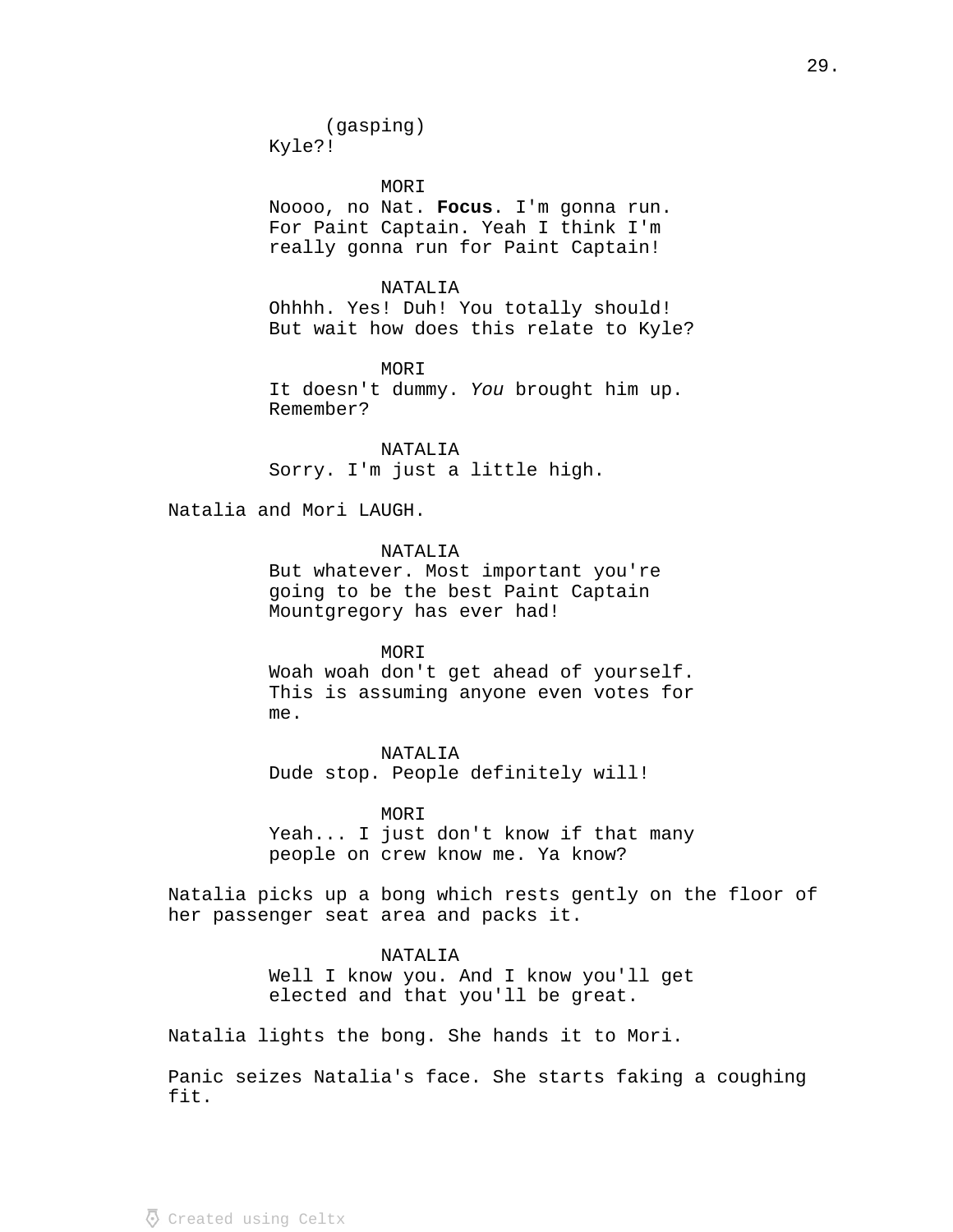MORI Noooo, no Nat. Focus. I'm gonna run. For Paint Captain. Yeah I think I'm really gonna run for Paint Captain!

NATALIA Ohhhh. Yes! Duh! You totally should! But wait how does this relate to Kyle?

MORI It doesn't dummy. You brought him up. Remember?

NATALIA Sorry. I'm just a little high.

Natalia and Mori LAUGH.

NATALIA

But whatever. Most important you're going to be the best Paint Captain Mountgregory has ever had!

MORI Woah woah don't get ahead of yourself. This is assuming anyone even votes for me.

NATALIA Dude stop. People definitely will!

MORI Yeah... I just don't know if that many people on crew know me. Ya know?

Natalia picks up a bong which rests gently on the floor of her passenger seat area and packs it.

NATALIA

Well I know you. And I know you'll get elected and that you'll be great.

Natalia lights the bong. She hands it to Mori.

Panic seizes Natalia's face. She starts faking a coughing fit.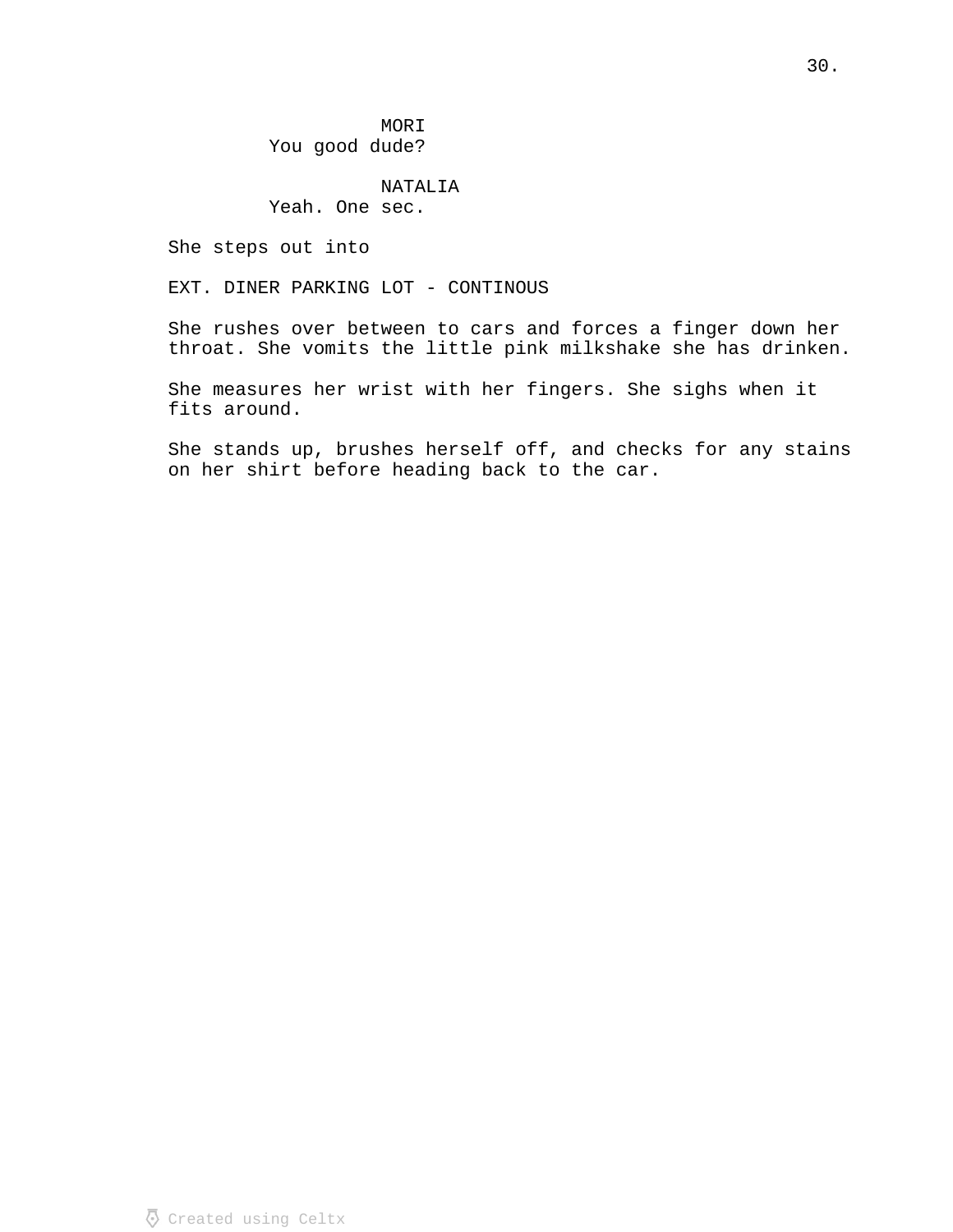MORI You good dude?

# NATALIA

# Yeah. One sec.

She steps out into

EXT. DINER PARKING LOT - CONTINOUS

She rushes over between to cars and forces a finger down her throat. She vomits the little pink milkshake she has drinken.

She measures her wrist with her fingers. She sighs when it fits around.

She stands up, brushes herself off, and checks for any stains on her shirt before heading back to the car.